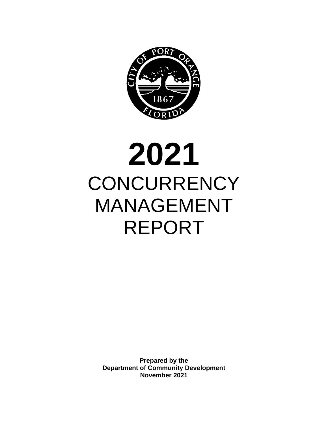

# **2021 CONCURRENCY** MANAGEMENT REPORT

**Prepared by the Department of Community Development November 2021**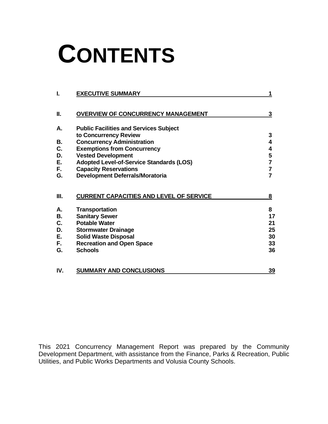# **CONTENTS**

| I.  | <b>EXECUTIVE SUMMARY</b>                        | 1              |
|-----|-------------------------------------------------|----------------|
| П.  | <b>OVERVIEW OF CONCURRENCY MANAGEMENT</b>       | 3              |
| А.  | <b>Public Facilities and Services Subject</b>   |                |
|     | to Concurrency Review                           | 3              |
| В.  | <b>Concurrency Administration</b>               | 4              |
| C.  | <b>Exemptions from Concurrency</b>              | 4              |
| D.  | <b>Vested Development</b>                       | 5              |
| Е.  | <b>Adopted Level-of-Service Standards (LOS)</b> | 7              |
| F.  | <b>Capacity Reservations</b>                    | 7              |
| G.  | <b>Development Deferrals/Moratoria</b>          | $\overline{7}$ |
| Ш.  | <b>CURRENT CAPACITIES AND LEVEL OF SERVICE</b>  | 8              |
| А.  | <b>Transportation</b>                           | 8              |
| В.  | <b>Sanitary Sewer</b>                           | 17             |
| C.  | <b>Potable Water</b>                            | 21             |
| D.  | <b>Stormwater Drainage</b>                      | 25             |
| Ε.  | <b>Solid Waste Disposal</b>                     | 30             |
| F.  | <b>Recreation and Open Space</b>                | 33             |
| G.  | <b>Schools</b>                                  | 36             |
| IV. | <b>SUMMARY AND CONCLUSIONS</b>                  | 39             |

This 2021 Concurrency Management Report was prepared by the Community Development Department, with assistance from the Finance, Parks & Recreation, Public Utilities, and Public Works Departments and Volusia County Schools.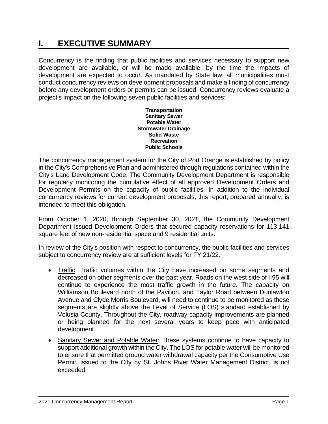# **I. EXECUTIVE SUMMARY**

Concurrency is the finding that public facilities and services necessary to support new development are available, or will be made available, by the time the impacts of development are expected to occur. As mandated by State law, all municipalities must conduct concurrency reviews on development proposals and make a finding of concurrency before any development orders or permits can be issued. Concurrency reviews evaluate a project's impact on the following seven public facilities and services:

> **Transportation Sanitary Sewer Potable Water Stormwater Drainage Solid Waste Recreation Public Schools**

The concurrency management system for the City of Port Orange is established by policy in the City's Comprehensive Plan and administered through regulations contained within the City's Land Development Code. The Community Development Department is responsible for regularly monitoring the cumulative effect of all approved Development Orders and Development Permits on the capacity of public facilities. In addition to the individual concurrency reviews for current development proposals, this report, prepared annually, is intended to meet this obligation.

From October 1, 2020, through September 30, 2021, the Community Development Department issued Development Orders that secured capacity reservations for 113,141 square feet of new non-residential space and 9 residential units.

In review of the City's position with respect to concurrency, the public facilities and services subject to concurrency review are at sufficient levels for FY 21/22.

- Traffic: Traffic volumes within the City have increased on some segments and decreased on other segments over the past year. Roads on the west side of I-95 will continue to experience the most traffic growth in the future. The capacity on Williamson Boulevard north of the Pavilion, and Taylor Road between Dunlawton Avenue and Clyde Morris Boulevard, will need to continue to be monitored as these segments are slightly above the Level of Service (LOS) standard established by Volusia County. Throughout the City, roadway capacity improvements are planned or being planned for the next several years to keep pace with anticipated development.
- Sanitary Sewer and Potable Water: These systems continue to have capacity to support additional growth within the City. The LOS for potable water will be monitored to ensure that permitted ground water withdrawal capacity per the Consumptive Use Permit, issued to the City by St. Johns River Water Management District, is not exceeded.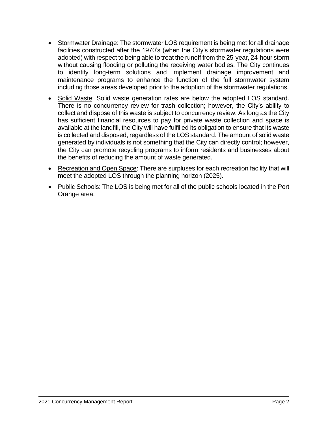- Stormwater Drainage: The stormwater LOS requirement is being met for all drainage facilities constructed after the 1970's (when the City's stormwater regulations were adopted) with respect to being able to treat the runoff from the 25-year, 24-hour storm without causing flooding or polluting the receiving water bodies. The City continues to identify long-term solutions and implement drainage improvement and maintenance programs to enhance the function of the full stormwater system including those areas developed prior to the adoption of the stormwater regulations.
- Solid Waste: Solid waste generation rates are below the adopted LOS standard. There is no concurrency review for trash collection; however, the City's ability to collect and dispose of this waste is subject to concurrency review. As long as the City has sufficient financial resources to pay for private waste collection and space is available at the landfill, the City will have fulfilled its obligation to ensure that its waste is collected and disposed, regardless of the LOS standard. The amount of solid waste generated by individuals is not something that the City can directly control; however, the City can promote recycling programs to inform residents and businesses about the benefits of reducing the amount of waste generated.
- Recreation and Open Space: There are surpluses for each recreation facility that will meet the adopted LOS through the planning horizon (2025).
- Public Schools: The LOS is being met for all of the public schools located in the Port Orange area.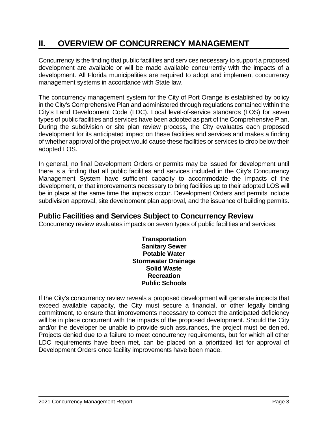# **II. OVERVIEW OF CONCURRENCY MANAGEMENT**

Concurrency is the finding that public facilities and services necessary to support a proposed development are available or will be made available concurrently with the impacts of a development. All Florida municipalities are required to adopt and implement concurrency management systems in accordance with State law.

The concurrency management system for the City of Port Orange is established by policy in the City's Comprehensive Plan and administered through regulations contained within the City's Land Development Code (LDC). Local level-of-service standards (LOS) for seven types of public facilities and services have been adopted as part of the Comprehensive Plan. During the subdivision or site plan review process, the City evaluates each proposed development for its anticipated impact on these facilities and services and makes a finding of whether approval of the project would cause these facilities or services to drop below their adopted LOS.

In general, no final Development Orders or permits may be issued for development until there is a finding that all public facilities and services included in the City's Concurrency Management System have sufficient capacity to accommodate the impacts of the development, or that improvements necessary to bring facilities up to their adopted LOS will be in place at the same time the impacts occur. Development Orders and permits include subdivision approval, site development plan approval, and the issuance of building permits.

## **Public Facilities and Services Subject to Concurrency Review**

Concurrency review evaluates impacts on seven types of public facilities and services:

**Transportation Sanitary Sewer Potable Water Stormwater Drainage Solid Waste Recreation Public Schools**

If the City's concurrency review reveals a proposed development will generate impacts that exceed available capacity, the City must secure a financial, or other legally binding commitment, to ensure that improvements necessary to correct the anticipated deficiency will be in place concurrent with the impacts of the proposed development. Should the City and/or the developer be unable to provide such assurances, the project must be denied. Projects denied due to a failure to meet concurrency requirements, but for which all other LDC requirements have been met, can be placed on a prioritized list for approval of Development Orders once facility improvements have been made.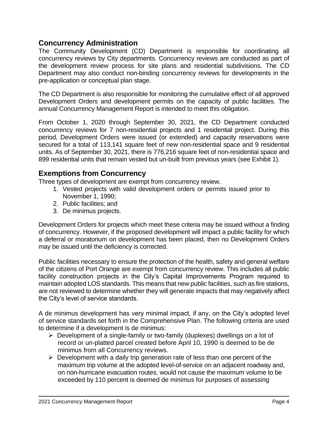## **Concurrency Administration**

The Community Development (CD) Department is responsible for coordinating all concurrency reviews by City departments. Concurrency reviews are conducted as part of the development review process for site plans and residential subdivisions. The CD Department may also conduct non-binding concurrency reviews for developments in the pre-application or conceptual plan stage.

The CD Department is also responsible for monitoring the cumulative effect of all approved Development Orders and development permits on the capacity of public facilities. The annual Concurrency Management Report is intended to meet this obligation.

From October 1, 2020 through September 30, 2021, the CD Department conducted concurrency reviews for 7 non-residential projects and 1 residential project. During this period, Development Orders were issued (or extended) and capacity reservations were secured for a total of 113,141 square feet of new non-residential space and 9 residential units. As of September 30, 2021, there is 776,216 square feet of non-residential space and 899 residential units that remain vested but un-built from previous years (see Exhibit 1).

## **Exemptions from Concurrency**

Three types of development are exempt from concurrency review.

- 1. Vested projects with valid development orders or permits issued prior to November 1, 1990;
- 2. Public facilities; and
- 3. De minimus projects.

Development Orders for projects which meet these criteria may be issued without a finding of concurrency. However, if the proposed development will impact a public facility for which a deferral or moratorium on development has been placed, then no Development Orders may be issued until the deficiency is corrected.

Public facilities necessary to ensure the protection of the health, safety and general welfare of the citizens of Port Orange are exempt from concurrency review. This includes all public facility construction projects in the City's Capital Improvements Program required to maintain adopted LOS standards. This means that new public facilities, such as fire stations, are not reviewed to determine whether they will generate impacts that may negatively affect the City's level of service standards.

A de minimus development has very minimal impact, if any, on the City's adopted level of service standards set forth in the Comprehensive Plan. The following criteria are used to determine if a development is de minimus:

- ➢ Development of a single-family or two-family (duplexes) dwellings on a lot of record or un-platted parcel created before April 10, 1990 is deemed to be de minimus from all Concurrency reviews.
- $\triangleright$  Development with a daily trip generation rate of less than one percent of the maximum trip volume at the adopted level-of-service on an adjacent roadway and, on non-hurricane evacuation routes, would not cause the maximum volume to be exceeded by 110 percent is deemed de minimus for purposes of assessing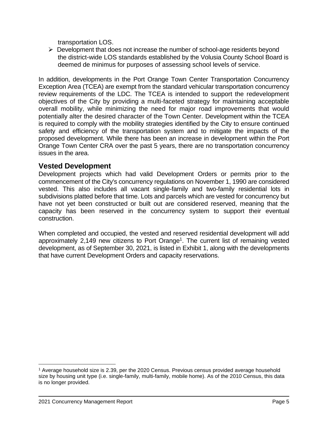transportation LOS.

 $\triangleright$  Development that does not increase the number of school-age residents beyond the district-wide LOS standards established by the Volusia County School Board is deemed de minimus for purposes of assessing school levels of service.

In addition, developments in the Port Orange Town Center Transportation Concurrency Exception Area (TCEA) are exempt from the standard vehicular transportation concurrency review requirements of the LDC. The TCEA is intended to support the redevelopment objectives of the City by providing a multi-faceted strategy for maintaining acceptable overall mobility, while minimizing the need for major road improvements that would potentially alter the desired character of the Town Center. Development within the TCEA is required to comply with the mobility strategies identified by the City to ensure continued safety and efficiency of the transportation system and to mitigate the impacts of the proposed development. While there has been an increase in development within the Port Orange Town Center CRA over the past 5 years, there are no transportation concurrency issues in the area.

## **Vested Development**

Development projects which had valid Development Orders or permits prior to the commencement of the City's concurrency regulations on November 1, 1990 are considered vested. This also includes all vacant single-family and two-family residential lots in subdivisions platted before that time. Lots and parcels which are vested for concurrency but have not yet been constructed or built out are considered reserved, meaning that the capacity has been reserved in the concurrency system to support their eventual construction.

When completed and occupied, the vested and reserved residential development will add approximately 2,149 new citizens to Port Orange<sup>1</sup>. The current list of remaining vested development, as of September 30, 2021, is listed in Exhibit 1, along with the developments that have current Development Orders and capacity reservations.

<sup>1</sup> Average household size is 2.39, per the 2020 Census. Previous census provided average household size by housing unit type (i.e. single-family, multi-family, mobile home). As of the 2010 Census, this data is no longer provided.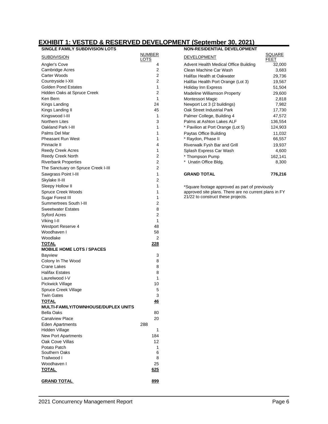## **EXHIBIT 1: VESTED & RESERVED DEVELOPMENT (September 30, 2021)**

| <b>SINGLE FAMILY SUBDIVISION LOTS</b>         |                | <b>NON-RESIDENTIAL DEVELOPMENT</b>                              |                  |
|-----------------------------------------------|----------------|-----------------------------------------------------------------|------------------|
| <b>SUBDIVISION</b>                            | <b>NUMBER</b>  | <b>DEVELOPMENT</b>                                              | SQUARE           |
|                                               | <u>LOTS</u>    | <b>FEET</b>                                                     |                  |
| <b>Angler's Cove</b><br>Cambridge Acres       | 4<br>2         | Advent Health Medical Office Building<br>Clean Machine Car Wash | 32,000           |
| <b>Carter Woods</b>                           | 2              | Halifax Health at Oakwater                                      | 3,683            |
| Countryside I-XII                             | 2              |                                                                 | 29,736           |
| <b>Golden Pond Estates</b>                    | 1              | Halifax Health Port Orange (Lot 3)                              | 19,567           |
| Hidden Oaks at Spruce Creek                   | 2              | Holiday Inn Express                                             | 51,504           |
| Ken Bern                                      | $\mathbf{1}$   | Madeline Williamson Property                                    | 29,600           |
| Kings Landing                                 | 24             | Montessori Magic<br>Newport Lot 3 (2 buildings)                 | 2,818<br>7,982   |
| Kings Landing II                              | 45             | Oak Street Industrial Park                                      | 17,730           |
| Kingswood I-III                               | 1              | Palmer College, Building 4                                      | 47,572           |
| Northern Lites                                | 3              | Palms at Ashton Lakes ALF                                       | 136,554          |
| Oakland Park I-III                            | 1              | * Pavilion at Port Orange (Lot 5)                               | 124,903          |
| Palms Del Mar                                 | 1              |                                                                 |                  |
| <b>Pheasant Run West</b>                      | 1              | Paytas Office Building<br>* Raydon, Phase II                    | 11,032<br>66,557 |
| Pinnacle II                                   | 4              |                                                                 |                  |
|                                               | 1              | Riverwalk Fysh Bar and Grill                                    | 19,937           |
| <b>Reedy Creek Acres</b><br>Reedy Creek North | $\overline{2}$ | Splash Express Car Wash<br>* Thompson Pump                      | 4,600            |
|                                               | 2              | * Unatin Office Bldg.                                           | 162,141          |
| <b>Riverbank Properties</b>                   |                |                                                                 | 8,300            |
| The Sanctuary on Spruce Creek I-III           | 2              |                                                                 |                  |
| Sawgrass Point I-III                          | 1              | <b>GRAND TOTAL</b>                                              | 776,216          |
| Skylake II-III                                | 2              |                                                                 |                  |
| Sleepy Hollow II                              | 1              | *Square footage approved as part of previously                  |                  |
| Spruce Creek Woods                            | 1              | approved site plans. There are no current plans in FY           |                  |
| Sugar Forest III                              | 1              | 21/22 to construct these projects.                              |                  |
| Summertrees South I-III                       | 2              |                                                                 |                  |
| <b>Sweetwater Estates</b>                     | 8              |                                                                 |                  |
| <b>Syford Acres</b>                           | 2              |                                                                 |                  |
| Viking I-II                                   | 1              |                                                                 |                  |
| Westport Reserve 4                            | 48             |                                                                 |                  |
| Woodhaven I                                   | 58             |                                                                 |                  |
| Woodlake                                      | 2              |                                                                 |                  |
| <b>TOTAL</b>                                  | 228            |                                                                 |                  |
| <b>MOBILE HOME LOTS / SPACES</b>              |                |                                                                 |                  |
| <b>Bayview</b>                                | 3              |                                                                 |                  |
| Colony In The Wood                            | 8              |                                                                 |                  |
| Crane Lakes                                   | 8              |                                                                 |                  |
| <b>Halifax Estates</b>                        | 8              |                                                                 |                  |
| Laurelwood I-V                                | 1              |                                                                 |                  |
| Pickwick Village                              | 10             |                                                                 |                  |
| Spruce Creek Village                          | 5              |                                                                 |                  |
| <b>Twin Gates</b>                             | 3              |                                                                 |                  |
| <b>TOTAL</b>                                  | 46             |                                                                 |                  |
| MULTI-FAMILY/TOWNHOUSE/DUPLEX UNITS           |                |                                                                 |                  |
| Bella Oaks                                    | 80             |                                                                 |                  |
| <b>Canalview Place</b>                        | 20             |                                                                 |                  |
| <b>Eden Apartments</b>                        | 288            |                                                                 |                  |
| Hidden Village                                | 1              |                                                                 |                  |
| New Port Apartments                           | 184            |                                                                 |                  |
| Oak Cove Villas                               | 12             |                                                                 |                  |
| Potato Patch                                  | 1              |                                                                 |                  |
| Southern Oaks                                 | 6              |                                                                 |                  |
| Trailwood I                                   | 8              |                                                                 |                  |
| Woodhaven I                                   | 25             |                                                                 |                  |
| <b>TOTAL</b>                                  | 625            |                                                                 |                  |
| <b>GRAND TOTAL</b>                            | 899            |                                                                 |                  |

| <b>NON-RESIDENTIAL DEVELOPMENT</b>              |
|-------------------------------------------------|
| SQUARE<br>FEET                                  |
| Advent Health Medical Office Building<br>32,000 |
| Clean Machine Car Wash<br>3,683                 |
| Halifax Health at Oakwater<br>29,736            |
| Halifax Health Port Orange (Lot 3)<br>19,567    |
| 51,504                                          |
| Madeline Williamson Property<br>29,600          |
| 2,818                                           |
| Newport Lot 3 (2 buildings)<br>7,982            |
| Oak Street Industrial Park<br>17,730            |
| Palmer College, Building 4<br>47,572            |
| Palms at Ashton Lakes ALF<br>136,554            |
| * Pavilion at Port Orange (Lot 5)<br>124,903    |
| 11,032                                          |
| 66,557                                          |
| Riverwalk Fysh Bar and Grill<br>19,937          |
| Splash Express Car Wash<br>4,600                |
| 162,141                                         |
| 8,300                                           |
|                                                 |
| 776,216                                         |
|                                                 |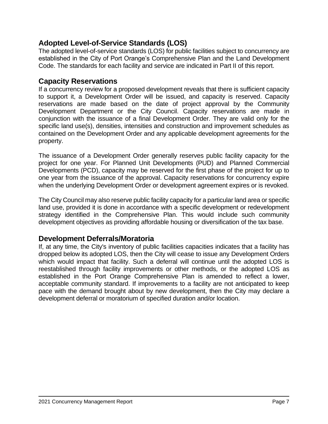## **Adopted Level-of-Service Standards (LOS)**

The adopted level-of-service standards (LOS) for public facilities subject to concurrency are established in the City of Port Orange's Comprehensive Plan and the Land Development Code. The standards for each facility and service are indicated in Part II of this report.

## **Capacity Reservations**

If a concurrency review for a proposed development reveals that there is sufficient capacity to support it, a Development Order will be issued, and capacity is reserved. Capacity reservations are made based on the date of project approval by the Community Development Department or the City Council. Capacity reservations are made in conjunction with the issuance of a final Development Order. They are valid only for the specific land use(s), densities, intensities and construction and improvement schedules as contained on the Development Order and any applicable development agreements for the property.

The issuance of a Development Order generally reserves public facility capacity for the project for one year. For Planned Unit Developments (PUD) and Planned Commercial Developments (PCD), capacity may be reserved for the first phase of the project for up to one year from the issuance of the approval. Capacity reservations for concurrency expire when the underlying Development Order or development agreement expires or is revoked.

The City Council may also reserve public facility capacity for a particular land area or specific land use, provided it is done in accordance with a specific development or redevelopment strategy identified in the Comprehensive Plan. This would include such community development objectives as providing affordable housing or diversification of the tax base.

## **Development Deferrals/Moratoria**

If, at any time, the City's inventory of public facilities capacities indicates that a facility has dropped below its adopted LOS, then the City will cease to issue any Development Orders which would impact that facility. Such a deferral will continue until the adopted LOS is reestablished through facility improvements or other methods, or the adopted LOS as established in the Port Orange Comprehensive Plan is amended to reflect a lower, acceptable community standard. If improvements to a facility are not anticipated to keep pace with the demand brought about by new development, then the City may declare a development deferral or moratorium of specified duration and/or location.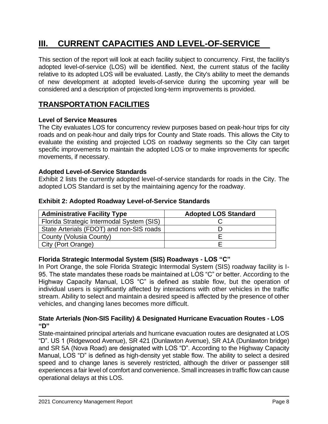# **III. CURRENT CAPACITIES AND LEVEL-OF-SERVICE**

This section of the report will look at each facility subject to concurrency. First, the facility's adopted level-of-service (LOS) will be identified. Next, the current status of the facility relative to its adopted LOS will be evaluated. Lastly, the City's ability to meet the demands of new development at adopted levels-of-service during the upcoming year will be considered and a description of projected long-term improvements is provided.

## **TRANSPORTATION FACILITIES**

## **Level of Service Measures**

The City evaluates LOS for concurrency review purposes based on peak-hour trips for city roads and on peak-hour and daily trips for County and State roads. This allows the City to evaluate the existing and projected LOS on roadway segments so the City can target specific improvements to maintain the adopted LOS or to make improvements for specific movements, if necessary.

## **Adopted Level-of-Service Standards**

Exhibit 2 lists the currently adopted level-of-service standards for roads in the City. The adopted LOS Standard is set by the maintaining agency for the roadway.

## **Exhibit 2: Adopted Roadway Level-of-Service Standards**

| <b>Administrative Facility Type</b>       | <b>Adopted LOS Standard</b> |  |  |  |
|-------------------------------------------|-----------------------------|--|--|--|
| Florida Strategic Intermodal System (SIS) |                             |  |  |  |
| State Arterials (FDOT) and non-SIS roads  |                             |  |  |  |
| County (Volusia County)                   |                             |  |  |  |
| City (Port Orange)                        |                             |  |  |  |

## **Florida Strategic Intermodal System (SIS) Roadways - LOS "C"**

In Port Orange, the sole Florida Strategic Intermodal System (SIS) roadway facility is I-95. The state mandates these roads be maintained at LOS "C" or better. According to the Highway Capacity Manual, LOS "C" is defined as stable flow, but the operation of individual users is significantly affected by interactions with other vehicles in the traffic stream. Ability to select and maintain a desired speed is affected by the presence of other vehicles, and changing lanes becomes more difficult.

## **State Arterials (Non-SIS Facility) & Designated Hurricane Evacuation Routes - LOS "D"**

State-maintained principal arterials and hurricane evacuation routes are designated at LOS "D". US 1 (Ridgewood Avenue), SR 421 (Dunlawton Avenue), SR A1A (Dunlawton bridge) and SR 5A (Nova Road) are designated with LOS "D". According to the Highway Capacity Manual, LOS "D" is defined as high-density yet stable flow. The ability to select a desired speed and to change lanes is severely restricted, although the driver or passenger still experiences a fair level of comfort and convenience. Small increases in traffic flow can cause operational delays at this LOS.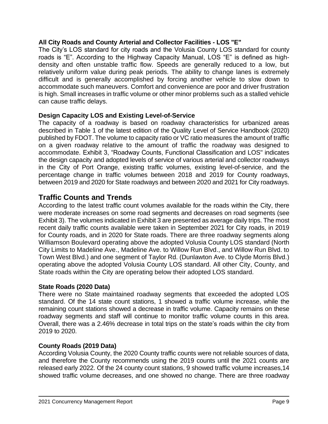## **All City Roads and County Arterial and Collector Facilities - LOS "E"**

The City's LOS standard for city roads and the Volusia County LOS standard for county roads is "E". According to the Highway Capacity Manual, LOS "E" is defined as highdensity and often unstable traffic flow. Speeds are generally reduced to a low, but relatively uniform value during peak periods. The ability to change lanes is extremely difficult and is generally accomplished by forcing another vehicle to slow down to accommodate such maneuvers. Comfort and convenience are poor and driver frustration is high. Small increases in traffic volume or other minor problems such as a stalled vehicle can cause traffic delays.

## **Design Capacity LOS and Existing Level-of-Service**

The capacity of a roadway is based on roadway characteristics for urbanized areas described in Table 1 of the latest edition of the Quality Level of Service Handbook (2020) published by FDOT. The volume to capacity ratio or VC ratio measures the amount of traffic on a given roadway relative to the amount of traffic the roadway was designed to accommodate. Exhibit 3, "Roadway Counts, Functional Classification and LOS" indicates the design capacity and adopted levels of service of various arterial and collector roadways in the City of Port Orange, existing traffic volumes, existing level-of-service, and the percentage change in traffic volumes between 2018 and 2019 for County roadways, between 2019 and 2020 for State roadways and between 2020 and 2021 for City roadways.

## **Traffic Counts and Trends**

According to the latest traffic count volumes available for the roads within the City, there were moderate increases on some road segments and decreases on road segments (see Exhibit 3). The volumes indicated in Exhibit 3 are presented as average daily trips. The most recent daily traffic counts available were taken in September 2021 for City roads, in 2019 for County roads, and in 2020 for State roads. There are three roadway segments along Williamson Boulevard operating above the adopted Volusia County LOS standard (North City Limits to Madeline Ave., Madeline Ave. to Willow Run Blvd., and Willow Run Blvd. to Town West Blvd.) and one segment of Taylor Rd. (Dunlawton Ave. to Clyde Morris Blvd.) operating above the adopted Volusia County LOS standard. All other City, County, and State roads within the City are operating below their adopted LOS standard.

## **State Roads (2020 Data)**

There were no State maintained roadway segments that exceeded the adopted LOS standard. Of the 14 state count stations, 1 showed a traffic volume increase, while the remaining count stations showed a decrease in traffic volume. Capacity remains on these roadway segments and staff will continue to monitor traffic volume counts in this area. Overall, there was a 2.46% decrease in total trips on the state's roads within the city from 2019 to 2020.

## **County Roads (2019 Data)**

According Volusia County, the 2020 County traffic counts were not reliable sources of data, and therefore the County recommends using the 2019 counts until the 2021 counts are released early 2022. Of the 24 county count stations, 9 showed traffic volume increases,14 showed traffic volume decreases, and one showed no change. There are three roadway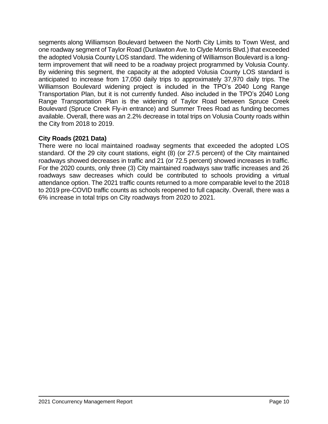segments along Williamson Boulevard between the North City Limits to Town West, and one roadway segment of Taylor Road (Dunlawton Ave. to Clyde Morris Blvd.) that exceeded the adopted Volusia County LOS standard. The widening of Williamson Boulevard is a longterm improvement that will need to be a roadway project programmed by Volusia County. By widening this segment, the capacity at the adopted Volusia County LOS standard is anticipated to increase from 17,050 daily trips to approximately 37,970 daily trips. The Williamson Boulevard widening project is included in the TPO's 2040 Long Range Transportation Plan, but it is not currently funded. Also included in the TPO's 2040 Long Range Transportation Plan is the widening of Taylor Road between Spruce Creek Boulevard (Spruce Creek Fly-in entrance) and Summer Trees Road as funding becomes available. Overall, there was an 2.2% decrease in total trips on Volusia County roads within the City from 2018 to 2019.

## **City Roads (2021 Data)**

There were no local maintained roadway segments that exceeded the adopted LOS standard. Of the 29 city count stations, eight (8) (or 27.5 percent) of the City maintained roadways showed decreases in traffic and 21 (or 72.5 percent) showed increases in traffic. For the 2020 counts, only three (3) City maintained roadways saw traffic increases and 26 roadways saw decreases which could be contributed to schools providing a virtual attendance option. The 2021 traffic counts returned to a more comparable level to the 2018 to 2019 pre-COVID traffic counts as schools reopened to full capacity. Overall, there was a 6% increase in total trips on City roadways from 2020 to 2021.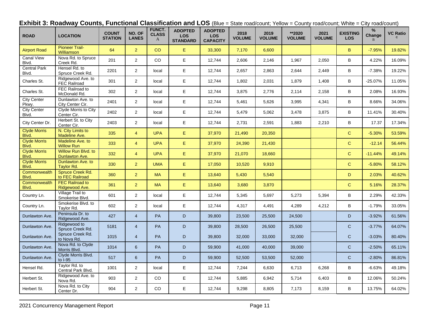|  |  |  | <b>Exhibit 3: Roadway Counts, Functional Classification and LOS</b> (Blue = State road/count; Yellow = County road/count; White = City road/count) |  |  |
|--|--|--|----------------------------------------------------------------------------------------------------------------------------------------------------|--|--|
|--|--|--|----------------------------------------------------------------------------------------------------------------------------------------------------|--|--|

| <b>ROAD</b>                  | <b>LOCATION</b>                              | <b>COUNT</b><br><b>STATION</b> | NO. OF<br><b>LANES</b> | FUNCT.<br><b>CLASS</b><br>A | <b>ADOPTED</b><br><b>LOS</b><br><b>STANDARD</b> | <b>ADOPTED</b><br><b>LOS</b><br><b>CAPACITY</b> | 2018<br><b>VOLUME</b> | 2019<br><b>VOLUME</b> | **2020<br><b>VOLUME</b> | 2021<br><b>VOLUME</b> | <b>EXISTING</b><br><b>LOS</b> | $\%$<br>Change | <b>VC Ratio</b> |
|------------------------------|----------------------------------------------|--------------------------------|------------------------|-----------------------------|-------------------------------------------------|-------------------------------------------------|-----------------------|-----------------------|-------------------------|-----------------------|-------------------------------|----------------|-----------------|
| <b>Airport Road</b>          | <b>Pioneer Trail-</b><br><b>Williamson</b>   | 64                             | 2 <sup>2</sup>         | CO                          | E                                               | 33,300                                          | 7,170                 | 6,600                 |                         |                       | B                             | $-7.95%$       | 19.82%          |
| <b>Canal View</b><br>Blvd.   | Nova Rd. to Spruce<br>Creek Rd.              | 201                            | $\overline{2}$         | CO                          | E                                               | 12,744                                          | 2,606                 | 2,146                 | 1,967                   | 2,050                 | B                             | 4.22%          | 16.09%          |
| <b>Central Park</b><br>Blvd. | Hensel Rd. to<br>Spruce Creek Rd.            | 2201                           | $\overline{2}$         | local                       | E                                               | 12,744                                          | 2,657                 | 2,863                 | 2,644                   | 2,449                 | B                             | $-7.38%$       | 19.22%          |
| Charles St.                  | Ridgewood Ave. to<br><b>FEC Railroad</b>     | 301                            | $\overline{2}$         | local                       | E                                               | 12,744                                          | 1,802                 | 2,031                 | 1,879                   | 1,408                 | B                             | -25.07%        | 11.05%          |
| Charles St.                  | FEC Railroad to<br>McDonald Rd.              | 302                            | $\overline{2}$         | local                       | E                                               | 12,744                                          | 3,875                 | 2,776                 | 2,114                   | 2,158                 | B                             | 2.08%          | 16.93%          |
| City Center<br>Pkwy.         | Dunlawton Ave. to<br>City Center Cir.        | 2401                           | $\overline{2}$         | local                       | E                                               | 12,744                                          | 5,461                 | 5,626                 | 3,995                   | 4,341                 | B                             | 8.66%          | 34.06%          |
| <b>City Center</b><br>Blvd.  | Clyde Morris to City<br>Center Cir.          | 2402                           | $\overline{2}$         | local                       | E                                               | 12,744                                          | 5,479                 | 5,062                 | 3,478                   | 3,875                 | B                             | 11.41%         | 30.40%          |
| City Center Dr.              | Herbert St. to City<br>Center Cir.           | 2403                           | $\overline{2}$         | local                       | $\mathsf E$                                     | 12,744                                          | 2,731                 | 2,591                 | 1,883                   | 2,210                 | B                             | 17.37          | 17.34%          |
| <b>Clyde Morris</b><br>Blvd. | N. City Limits to<br>Madeline Ave.           | 335                            | $\overline{4}$         | <b>UPA</b>                  | E                                               | 37,970                                          | 21,490                | 20,350                |                         |                       | $\mathbf{C}$                  | $-5.30%$       | 53.59%          |
| <b>Clyde Morris</b><br>Blvd. | Madeline Ave. to<br><b>Willow Run</b>        | 333                            | $\overline{4}$         | <b>UPA</b>                  | E                                               | 37,970                                          | 24,390                | 21,430                |                         |                       | $\mathbf{C}$                  | $-12.14$       | 56.44%          |
| <b>Clyde Morris</b><br>Blvd. | Willow Run Blvd. to<br><b>Dunlawton Ave.</b> | 332                            | $\overline{4}$         | <b>UPA</b>                  | E                                               | 37,970                                          | 21,070                | 18,660                |                         |                       | $\mathbf{C}$                  | $-11.44%$      | 49.14%          |
| <b>Clyde Morris</b><br>Blvd. | Dunlawton Ave. to<br><b>Taylor Rd.</b>       | 330                            | $\overline{2}$         | <b>UMA</b>                  | E                                               | 17,050                                          | 10,520                | 9,910                 |                         |                       | $\mathbf{C}$                  | $-5.80%$       | 58.12%          |
| Commonwealth<br>Blvd.        | Spruce Creek Rd.<br>to FEC Railroad          | 360                            | $\overline{2}$         | <b>MA</b>                   | $\mathsf E$                                     | 13,640                                          | 5,430                 | 5,540                 |                         |                       | D                             | 2.03%          | 40.62%          |
| Commonwealth<br>Blvd.        | <b>FEC Railroad to</b><br>Ridgewood Ave.     | 361                            | $\overline{2}$         | <b>MA</b>                   | E                                               | 13,640                                          | 3,680                 | 3,870                 |                         |                       | $\mathsf C$                   | 5.16%          | 28.37%          |
| Country Ln.                  | Village Trail to<br>Smokerise Blvd.          | 601                            | $\overline{2}$         | local                       | $\mathsf E$                                     | 12,744                                          | 5,345                 | 5,697                 | 5,273                   | 5,394                 | В                             | 2.29%          | 42.33%          |
| Country Ln.                  | Smokerise Blvd. to<br>Taylor Rd.             | 602                            | $\overline{2}$         | local                       | E                                               | 12,744                                          | 4,317                 | 4,491                 | 4,289                   | 4,212                 | В                             | $-1.79%$       | 33.05%          |
| Dunlawton Ave.               | Peninsula Dr. to<br>Ridgewood Ave.           | 427                            | $\overline{4}$         | PA                          | $\mathsf D$                                     | 39,800                                          | 23,500                | 25,500                | 24,500                  |                       | D                             | $-3.92%$       | 61.56%          |
| Dunlawton Ave.               | Ridgewood to<br>Spruce Creek Rd.             | 5181                           | $\overline{4}$         | <b>PA</b>                   | D                                               | 39,800                                          | 28,500                | 26.500                | 25.500                  |                       | $\mathsf{C}$                  | $-3.77%$       | 64.07%          |
| Dunlawton Ave.               | Spruce Creek Rd.<br>to Nova Rd.              | 1015                           | $\overline{4}$         | PA                          | D                                               | 39,800                                          | 32,000                | 33,000                | 32,000                  |                       | $\mathsf{C}$                  | $-3.03%$       | 80.40%          |
| Dunlawton Ave.               | Nova Rd. to Clyde<br>Morris Blvd.            | 1014                           | $6^{\circ}$            | PA                          | D                                               | 59,900                                          | 41,000                | 40,000                | 39,000                  |                       | $\mathsf{C}$                  | $-2.50%$       | 65.11%          |
| Dunlawton Ave.               | Clyde Morris Blvd.<br>to I-95                | 517                            | $6^{\circ}$            | <b>PA</b>                   | D                                               | 59,900                                          | 52,500                | 53,500                | 52,000                  |                       | $\mathsf{C}$                  | $-2.80%$       | 86.81%          |
| Hensel Rd.                   | Taylor Rd. to<br>Central Park Blvd.          | 1001                           | $\overline{2}$         | local                       | E                                               | 12,744                                          | 7,244                 | 6,630                 | 6,713                   | 6,268                 | B                             | $-6.63%$       | 49.18%          |
| Herbert St.                  | Ridgewood Ave. to<br>Nova Rd.                | 903                            | $\overline{2}$         | CO                          | E                                               | 12,744                                          | 5,885                 | 6,942                 | 5,714                   | 6,403                 | B                             | 12.06%         | 50.24%          |
| Herbert St.                  | Nova Rd. to City<br>Center Dr.               | 904                            | $\overline{2}$         | CO                          | E                                               | 12,744                                          | 9,298                 | 8,805                 | 7,173                   | 8,159                 | B                             | 13.75%         | 64.02%          |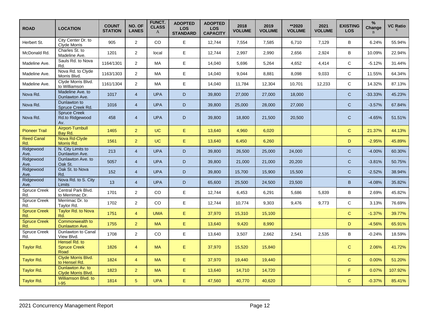| <b>ROAD</b>                | <b>LOCATION</b>                               | <b>COUNT</b><br><b>STATION</b> | NO. OF<br><b>LANES</b> | FUNCT.<br><b>CLASS</b><br>A | <b>ADOPTED</b><br><b>LOS</b><br><b>STANDARD</b> | <b>ADOPTED</b><br><b>LOS</b><br><b>CAPACITY</b> | 2018<br><b>VOLUME</b> | 2019<br><b>VOLUME</b> | **2020<br><b>VOLUME</b> | 2021<br><b>VOLUME</b> | <b>EXISTING</b><br><b>LOS</b> | %<br>Change | <b>VC Ratio</b> |
|----------------------------|-----------------------------------------------|--------------------------------|------------------------|-----------------------------|-------------------------------------------------|-------------------------------------------------|-----------------------|-----------------------|-------------------------|-----------------------|-------------------------------|-------------|-----------------|
| Herbert St.                | City Center Dr. to<br><b>Clyde Morris</b>     | 905                            | $\overline{2}$         | <b>CO</b>                   | E                                               | 12,744                                          | 7,554                 | 7,585                 | 6,710                   | 7,129                 | B                             | 6.24%       | 55.94%          |
| McDonald Rd.               | Charles St. to<br>Madeline Ave.               | 1201                           | $\overline{2}$         | local                       | E                                               | 12,744                                          | 2,997                 | 2,990                 | 2,656                   | 2,924                 | B                             | 10.09%      | 22.94%          |
| Madeline Ave.              | Sauls Rd. to Nova<br>Rd.                      | 1164/1301                      | $\overline{2}$         | MA                          | E                                               | 14,040                                          | 5,696                 | 5,264                 | 4,652                   | 4,414                 | C                             | $-5.12%$    | 31.44%          |
| Madeline Ave.              | Nova Rd. to Clyde<br>Morris Blvd.             | 1163/1303                      | $\overline{2}$         | MA                          | E                                               | 14,040                                          | 9,044                 | 8,881                 | 8,098                   | 9,033                 | $\mathsf{C}$                  | 11.55%      | 64.34%          |
| Madeline Ave.              | Clyde Morris Blvd.<br>to Williamson           | 1161/1304                      | $\overline{2}$         | MA                          | E                                               | 14,040                                          | 11,784                | 12,304                | 10,701                  | 12,233                | $\mathsf{C}$                  | 14.32%      | 87.13%          |
| Nova Rd.                   | Madeline Ave. to<br>Dunlawton Ave.            | 1017                           | $\overline{4}$         | <b>UPA</b>                  | D                                               | 39,800                                          | 27,000                | 27,000                | 18,000                  |                       | $\mathsf{C}$                  | $-33.33%$   | 45.23%          |
| Nova Rd.                   | Dunlawton to<br>Spruce Creek Rd.              | 1016                           | $\overline{4}$         | <b>UPA</b>                  | D                                               | 39,800                                          | 25,000                | 28,000                | 27,000                  |                       | $\mathsf{C}$                  | $-3.57%$    | 67.84%          |
| Nova Rd.                   | <b>Spruce Creek</b><br>Rd.to Ridgewood<br>Av. | 458                            | $\overline{4}$         | <b>UPA</b>                  | D                                               | 39,800                                          | 18,800                | 21,500                | 20,500                  |                       | $\mathsf{C}$                  | $-4.65%$    | 51.51%          |
| <b>Pioneer Trail</b>       | Airport-Turnbull<br>Bay Rd.                   | 1465                           | $\overline{2}$         | <b>UC</b>                   | E                                               | 13,640                                          | 4,960                 | 6,020                 |                         |                       | $\mathbf{C}$                  | 21.37%      | 44.13%          |
| <b>Reed Canal</b><br>Rd.   | Nova Rd-Clyde<br>Morris Rd.                   | 1561                           | $\overline{2}$         | <b>UC</b>                   | E                                               | 13,640                                          | 6,450                 | 6,260                 |                         |                       | D                             | $-2.95%$    | 45.89%          |
| Ridgewood<br>Ave.          | N. City Limits to<br>Dunlawton Ave.           | 213                            | $\overline{4}$         | <b>UPA</b>                  | D                                               | 39,800                                          | 26,500                | 25,000                | 24,000                  |                       | $\mathsf{C}$                  | $-4.00%$    | 60.30%          |
| Ridgewood<br>Ave.          | Dunlawton Ave. to<br>Oak St.                  | 5057                           | $\overline{4}$         | <b>UPA</b>                  | D                                               | 39,800                                          | 21,000                | 21,000                | 20,200                  |                       | $\mathsf{C}$                  | $-3.81%$    | 50.75%          |
| Ridgewood<br>Ave.          | Oak St. to Nova<br>Rd.                        | 152                            | $\overline{4}$         | <b>UPA</b>                  | D                                               | 39,800                                          | 15,700                | 15,900                | 15,500                  |                       | $\mathsf{C}$                  | $-2.52%$    | 38.94%          |
| Ridgewood<br>Ave.          | Nova Rd. to S. City<br><b>Limits</b>          | 13                             | $\overline{4}$         | <b>UPA</b>                  | D                                               | 65,600                                          | 25,500                | 24,500                | 23,500                  |                       | B                             | $-4.08%$    | 35.82%          |
| <b>Spruce Creek</b><br>Rd. | Central Park Blvd.<br>to Merrimac Dr.         | 1701                           | $\overline{2}$         | CO                          | E                                               | 12,744                                          | 6,453                 | 6,291                 | 5,686                   | 5,839                 | B                             | 2.69%       | 45.82%          |
| Spruce Creek<br>Rd.        | Merrimac Dr. to<br>Taylor Rd.                 | 1702                           | $\overline{2}$         | CO                          | E                                               | 12,744                                          | 10,774                | 9,303                 | 9,476                   | 9,773                 | $\mathbf C$                   | 3.13%       | 76.69%          |
| <b>Spruce Creek</b><br>Rd. | <b>Taylor Rd. to Nova</b><br>Rd.              | 1751                           | $\overline{4}$         | <b>UMA</b>                  | E                                               | 37,970                                          | 15,310                | 15,100                |                         |                       | $\mathbf{C}$                  | $-1.37%$    | 39.77%          |
| <b>Spruce Creek</b><br>Rd. | Commonwealth to<br><b>Dunlawton Ave.</b>      | 1755                           | $\overline{2}$         | <b>MA</b>                   | $\mathsf E$                                     | 13,640                                          | 9,420                 | 8,990                 |                         |                       | D                             | $-4.56%$    | 65.91%          |
| Spruce Creek<br>Rd.        | Dunlawton to Canal<br>View Blvd.              | 1708                           | $\overline{2}$         | CO                          | E                                               | 13,640                                          | 3,507                 | 2,662                 | 2,541                   | 2,535                 | B                             | $-0.24%$    | 18.59%          |
| Taylor Rd.                 | Hensel Rd. to<br><b>Spruce Creek</b><br>Road  | 1826                           | $\overline{4}$         | <b>MA</b>                   | $\mathsf E$                                     | 37,970                                          | 15,520                | 15,840                |                         |                       | $\mathbf C$                   | 2.06%       | 41.72%          |
| Taylor Rd.                 | Clyde Morris Blvd.<br>to Hensel Rd.           | 1824                           | $\overline{4}$         | <b>MA</b>                   | E                                               | 37,970                                          | 19,440                | 19,440                |                         |                       | $\mathbf{C}$                  | 0.00%       | 51.20%          |
| Taylor Rd.                 | Dunlawton Av. to<br>Clyde Morris Blvd.        | 1823                           | $\overline{2}$         | <b>MA</b>                   | $\mathsf E$                                     | 13,640                                          | 14,710                | 14,720                |                         |                       | F                             | 0.07%       | 107.92%         |
| Taylor Rd.                 | Williamson Blvd. to<br>$1-95$                 | 1814                           | $\sqrt{5}$             | <b>UPA</b>                  | E                                               | 47,560                                          | 40,770                | 40,620                |                         |                       | $\mathbf C$                   | $-0.37%$    | 85.41%          |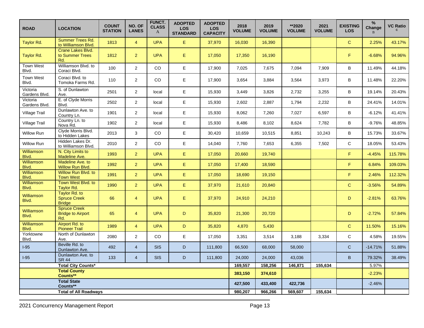| <b>ROAD</b>                     | <b>LOCATION</b>                                        | <b>COUNT</b><br><b>STATION</b> | NO. OF<br><b>LANES</b> | FUNCT.<br><b>CLASS</b><br>A | <b>ADOPTED</b><br><b>LOS</b><br><b>STANDARD</b> | <b>ADOPTED</b><br><b>LOS</b><br><b>CAPACITY</b> | 2018<br><b>VOLUME</b> | 2019<br><b>VOLUME</b> | **2020<br><b>VOLUME</b> | 2021<br><b>VOLUME</b> | <b>EXISTING</b><br><b>LOS</b> | $\%$<br>Change<br>$\mathbf{R}$ | <b>VC Ratio</b> |
|---------------------------------|--------------------------------------------------------|--------------------------------|------------------------|-----------------------------|-------------------------------------------------|-------------------------------------------------|-----------------------|-----------------------|-------------------------|-----------------------|-------------------------------|--------------------------------|-----------------|
| Taylor Rd.                      | <b>Summer Trees Rd.</b><br>to Williamson Blvd.         | 1813                           | $\overline{4}$         | <b>UPA</b>                  | E                                               | 37,970                                          | 16,030                | 16,390                |                         |                       | $\mathbf C$                   | 2.25%                          | 43.17%          |
| Taylor Rd.                      | Crane Lakes Blvd.<br>to Summer Trees<br>Rd.            | 1812                           | $\overline{2}$         | <b>UPA</b>                  | $\mathsf E$                                     | 17,050                                          | 17,350                | 16,190                |                         |                       | F.                            | $-6.68%$                       | 94.96%          |
| <b>Town West</b><br>Blvd.       | Williamson Blvd. to<br>Coraci Blvd.                    | 100                            | $\overline{2}$         | CO                          | E                                               | 17,900                                          | 7,025                 | 7,675                 | 7,094                   | 7,909                 | В                             | 11.49%                         | 44.18%          |
| <b>Town West</b><br>Blvd.       | Coraci Blvd. to<br>Tomoka Farms Rd.                    | 110                            | $\overline{2}$         | <b>CO</b>                   | E                                               | 17,900                                          | 3,654                 | 3,884                 | 3,564                   | 3,973                 | B                             | 11.48%                         | 22.20%          |
| Victoria<br>Gardens Blvd.       | S. of Dunlawton<br>Ave.                                | 2501                           | $\overline{2}$         | local                       | E                                               | 15,930                                          | 3,449                 | 3,826                 | 2,732                   | 3,255                 | B                             | 19.14%                         | 20.43%          |
| Victoria<br>Gardens Blvd.       | E. of Clyde Morris<br>Blvd.                            | 2502                           | $\overline{2}$         | local                       | E                                               | 15,930                                          | 2,602                 | 2,887                 | 1,794                   | 2,232                 | B                             | 24.41%                         | 14.01%          |
| Village Trail                   | Dunlawton Ave. to<br>Country Ln.                       | 1901                           | $\overline{2}$         | local                       | E                                               | 15,930                                          | 8,062                 | 7,260                 | 7,027                   | 6,597                 | $\sf B$                       | $-6.12%$                       | 41.41%          |
| <b>Village Trail</b>            | Country Ln. to<br>Nova Rd.                             | 1902                           | $\overline{c}$         | local                       | E                                               | 15,930                                          | 8,486                 | 8,102                 | 8,624                   | 7,782                 | B                             | $-9.76%$                       | 48.85%          |
| Willow Run                      | Clyde Morris Blvd.<br>to Hidden Lakes                  | 2013                           | $\mathbf{3}$           | CO                          | E                                               | 30,420                                          | 10,659                | 10,515                | 8,851                   | 10,243                | В                             | 15.73%                         | 33.67%          |
| Willow Run                      | Hidden Lakes Dr.<br>to Williamson Blvd.                | 2010                           | $\overline{2}$         | CO                          | E                                               | 14,040                                          | 7,760                 | 7,653                 | 6,355                   | 7,502                 | $\mathsf{C}$                  | 18.05%                         | 53.43%          |
| Williamson<br>Blvd.             | N. City Limits to<br>Madeline Ave.                     | 1993                           | $\overline{2}$         | <b>UPA</b>                  | E.                                              | 17,050                                          | 20,660                | 19,740                |                         |                       | F.                            | $-4.45%$                       | 115.78%         |
| <b>Williamson</b><br>Blvd.      | Madeline Ave. to<br>Willow Run Blvd.                   | 1992                           | $\overline{2}$         | <b>UPA</b>                  | $\mathsf E$                                     | 17,050                                          | 17,400                | 18,590                |                         |                       | F.                            | 6.84%                          | 109.03%         |
| Williamson<br>Blvd.             | Willow Run Blvd. to<br><b>Town West</b>                | 1991                           | $\overline{2}$         | <b>UPA</b>                  | $\mathsf E$                                     | 17,050                                          | 18,690                | 19,150                |                         |                       | F                             | 2.46%                          | 112.32%         |
| <b>Williamson</b><br>Blvd.      | Town West Blvd. to<br>Taylor Rd.                       | 1990                           | $\overline{2}$         | <b>UPA</b>                  | E                                               | 37,970                                          | 21,610                | 20,840                |                         |                       | $\mathbf{C}$                  | $-3.56%$                       | 54.89%          |
| Williamson<br>Blvd.             | Taylor Rd. to<br><b>Spruce Creek</b><br><b>Bridge</b>  | 66                             | $\overline{4}$         | <b>UPA</b>                  | $\mathsf E$                                     | 37,970                                          | 24,910                | 24,210                |                         |                       | D                             | $-2.81%$                       | 63.76%          |
| <b>Williamson</b><br>Blvd.      | <b>Spruce Creek</b><br><b>Bridge to Airport</b><br>Rd. | 65                             | $\overline{4}$         | <b>UPA</b>                  | D                                               | 35,820                                          | 21,300                | 20,720                |                         |                       | D                             | $-2.72%$                       | 57.84%          |
| <b>Williamson</b><br>Blvd.      | Airport Rd. to<br><b>Pioneer Trail</b>                 | 1989                           | $\overline{4}$         | <b>UPA</b>                  | D                                               | 35,820                                          | 4,870                 | 5,430                 |                         |                       | $\mathbf{C}$                  | 11.50%                         | 15.16%          |
| Yorktowne<br>Blvd.              | North of Dunlawton<br>Ave.                             | 2080                           | $\overline{2}$         | CO                          | E                                               | 17,050                                          | 3,351                 | 3,514                 | 3,188                   | 3,334                 | $\mathsf{C}$                  | 4.58%                          | 19.55%          |
| $I-95$                          | Beville Rd. to<br>Dunlawton Ave.                       | 492                            | $\overline{4}$         | <b>SIS</b>                  | D                                               | 111,800                                         | 66,500                | 68,000                | 58,000                  |                       | $\mathsf{C}$                  | $-14.71%$                      | 51.88%          |
| $I-95$                          | Dunlawton Ave. to<br><b>SR 44</b>                      | 133                            | $\overline{4}$         | <b>SIS</b>                  | D                                               | 111,800                                         | 24,000                | 24,000                | 43,036                  |                       | B                             | 79.32%                         | 38.49%          |
| <b>Total City Counts*</b>       |                                                        |                                |                        |                             |                                                 |                                                 | 169,557               | 158,256               | 146,871                 | 155,634               |                               | 5.97%                          |                 |
| <b>Total County</b><br>Counts** |                                                        |                                |                        |                             |                                                 |                                                 | 383,150               | 374,610               |                         |                       |                               | $-2.23%$                       |                 |
| <b>Total State</b><br>Counts**  |                                                        |                                |                        |                             |                                                 |                                                 | 427,500               | 433,400               | 422,736                 |                       |                               | $-2.46%$                       |                 |
|                                 | <b>Total of All Roadways</b>                           |                                |                        |                             |                                                 |                                                 | 980,207               | 966,266               | 569,607                 | 155,634               |                               |                                |                 |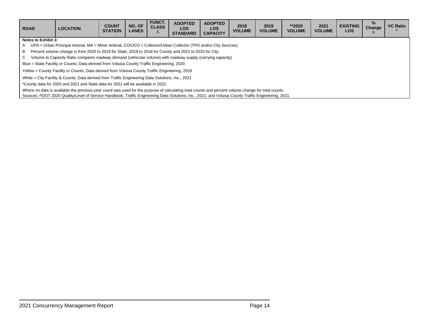| <b>ROAD</b>                | <b>LOCATION</b>                                                                                                                                     | <b>COUNT</b><br><b>STATION</b> | NO. OF<br><b>LANES</b> | <b>FUNCT.</b><br><b>CLASS</b><br>A | <b>ADOPTED</b><br><b>LOS</b><br><b>STANDARD</b> | <b>ADOPTED</b><br><b>LOS</b><br><b>CAPACITY</b> | 2018<br><b>VOLUME</b> | 2019<br><b>VOLUME</b> | **2020<br><b>VOLUME</b> | 2021<br><b>VOLUME</b> | <b>EXISTING</b><br><b>LOS</b> | $\%$<br>Change | <b>VC Ratio</b> |
|----------------------------|-----------------------------------------------------------------------------------------------------------------------------------------------------|--------------------------------|------------------------|------------------------------------|-------------------------------------------------|-------------------------------------------------|-----------------------|-----------------------|-------------------------|-----------------------|-------------------------------|----------------|-----------------|
| <b>Notes to Exhibit 3:</b> |                                                                                                                                                     |                                |                        |                                    |                                                 |                                                 |                       |                       |                         |                       |                               |                |                 |
| A                          | UPA = Urban Principal Arterial, MA = Minor Arterial, CO/UCO = Collector/Urban Collector (TPO and/or City Sources)                                   |                                |                        |                                    |                                                 |                                                 |                       |                       |                         |                       |                               |                |                 |
| B                          | Percent volume change is from 2020 to 2019 for State, 2019 to 2018 for County and 2021 to 2020 for City.                                            |                                |                        |                                    |                                                 |                                                 |                       |                       |                         |                       |                               |                |                 |
| $\mathbf{C}$               | Volume to Capacity Ratio compares roadway demand (vehicular volume) with roadway supply (carrying capacity)                                         |                                |                        |                                    |                                                 |                                                 |                       |                       |                         |                       |                               |                |                 |
|                            | Blue = State Facility or Counts: Data derived from Volusia County Traffic Engineering, 2020                                                         |                                |                        |                                    |                                                 |                                                 |                       |                       |                         |                       |                               |                |                 |
|                            | Yellow = County Facility or Counts; Data derived from Volusia County Traffic Engineering, 2019                                                      |                                |                        |                                    |                                                 |                                                 |                       |                       |                         |                       |                               |                |                 |
|                            | White = City Facility & Counts: Data derived from Traffic Engineering Data Solutions, Inc., 2021                                                    |                                |                        |                                    |                                                 |                                                 |                       |                       |                         |                       |                               |                |                 |
|                            | *County data for 2020 and 2021 and State data for 2021 will be available in 2022.                                                                   |                                |                        |                                    |                                                 |                                                 |                       |                       |                         |                       |                               |                |                 |
|                            | Where no data is available the previous year count was used for the purpose of calculating total counts and percent volume change for total counts. |                                |                        |                                    |                                                 |                                                 |                       |                       |                         |                       |                               |                |                 |
|                            | Sources: FDOT 2020 Quality/Level of Service Handbook; Traffic Engineering Data Solutions, Inc., 2021; and Volusia County Traffic Engineering, 2021. |                                |                        |                                    |                                                 |                                                 |                       |                       |                         |                       |                               |                |                 |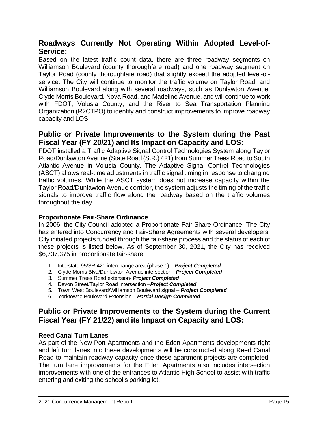## **Roadways Currently Not Operating Within Adopted Level-of-Service:**

Based on the latest traffic count data, there are three roadway segments on Williamson Boulevard (county thoroughfare road) and one roadway segment on Taylor Road (county thoroughfare road) that slightly exceed the adopted level-ofservice. The City will continue to monitor the traffic volume on Taylor Road, and Williamson Boulevard along with several roadways, such as Dunlawton Avenue, Clyde Morris Boulevard, Nova Road, and Madeline Avenue, and will continue to work with FDOT, Volusia County, and the River to Sea Transportation Planning Organization (R2CTPO) to identify and construct improvements to improve roadway capacity and LOS.

## **Public or Private Improvements to the System during the Past Fiscal Year (FY 20/21) and Its Impact on Capacity and LOS:**

FDOT installed a Traffic Adaptive Signal Control Technologies System along Taylor Road/Dunlawton Avenue (State Road (S.R.) 421) from Summer Trees Road to South Atlantic Avenue in Volusia County. The Adaptive Signal Control Technologies (ASCT) allows real-time adjustments in traffic signal timing in response to changing traffic volumes. While the ASCT system does not increase capacity within the Taylor Road/Dunlawton Avenue corridor, the system adjusts the timing of the traffic signals to improve traffic flow along the roadway based on the traffic volumes throughout the day.

## **Proportionate Fair-Share Ordinance**

In 2006, the City Council adopted a Proportionate Fair-Share Ordinance. The City has entered into Concurrency and Fair-Share Agreements with several developers. City initiated projects funded through the fair-share process and the status of each of these projects is listed below. As of September 30, 2021, the City has received \$6,737,375 in proportionate fair-share.

- 1. Interstate 95/SR 421 interchange area (phase 1) *Project Completed*
- 2. Clyde Morris Blvd/Dunlawton Avenue intersection *Project Completed*
- 3. Summer Trees Road extension- *Project Completed*
- 4. Devon Street/Taylor Road Intersection –*Project Completed*
- 5. Town West Boulevard/Williamson Boulevard signal *Project Completed*
- 6. Yorktowne Boulevard Extension *Partial Design Completed*

## **Public or Private Improvements to the System during the Current Fiscal Year (FY 21/22) and its Impact on Capacity and LOS:**

## **Reed Canal Turn Lanes**

 $\overline{a}$ 

As part of the New Port Apartments and the Eden Apartments developments right and left turn lanes into these developments will be constructed along Reed Canal Road to maintain roadway capacity once these apartment projects are completed. The turn lane improvements for the Eden Apartments also includes intersection improvements with one of the entrances to Atlantic High School to assist with traffic entering and exiting the school's parking lot.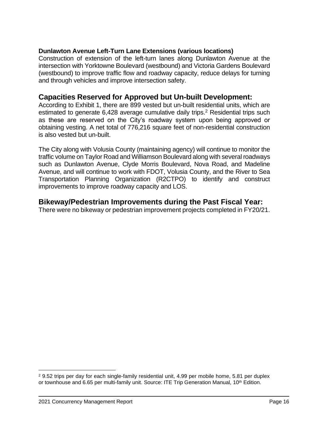## **Dunlawton Avenue Left-Turn Lane Extensions (various locations)**

Construction of extension of the left-turn lanes along Dunlawton Avenue at the intersection with Yorktowne Boulevard (westbound) and Victoria Gardens Boulevard (westbound) to improve traffic flow and roadway capacity, reduce delays for turning and through vehicles and improve intersection safety.

## **Capacities Reserved for Approved but Un-built Development:**

According to Exhibit 1, there are 899 vested but un-built residential units, which are estimated to generate 6,428 average cumulative daily trips.<sup>2</sup> Residential trips such as these are reserved on the City's roadway system upon being approved or obtaining vesting. A net total of 776,216 square feet of non-residential construction is also vested but un-built.

The City along with Volusia County (maintaining agency) will continue to monitor the traffic volume on Taylor Road and Williamson Boulevard along with several roadways such as Dunlawton Avenue, Clyde Morris Boulevard, Nova Road, and Madeline Avenue, and will continue to work with FDOT, Volusia County, and the River to Sea Transportation Planning Organization (R2CTPO) to identify and construct improvements to improve roadway capacity and LOS.

## **Bikeway/Pedestrian Improvements during the Past Fiscal Year:**

There were no bikeway or pedestrian improvement projects completed in FY20/21.

<sup>&</sup>lt;sup>2</sup> 9.52 trips per day for each single-family residential unit, 4.99 per mobile home, 5.81 per duplex or townhouse and 6.65 per multi-family unit. Source: ITE Trip Generation Manual, 10<sup>th</sup> Edition.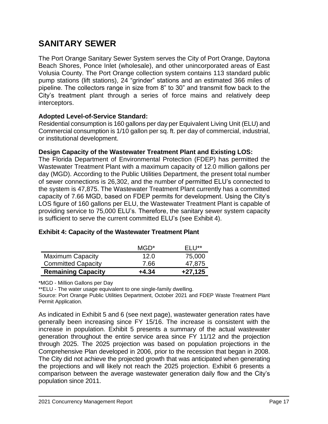# **SANITARY SEWER**

The Port Orange Sanitary Sewer System serves the City of Port Orange, Daytona Beach Shores, Ponce Inlet (wholesale), and other unincorporated areas of East Volusia County. The Port Orange collection system contains 113 standard public pump stations (lift stations), 24 "grinder" stations and an estimated 366 miles of pipeline. The collectors range in size from 8" to 30" and transmit flow back to the City's treatment plant through a series of force mains and relatively deep interceptors.

## **Adopted Level-of-Service Standard:**

Residential consumption is 160 gallons per day per Equivalent Living Unit (ELU) and Commercial consumption is 1/10 gallon per sq. ft. per day of commercial, industrial, or institutional development.

## **Design Capacity of the Wastewater Treatment Plant and Existing LOS:**

The Florida Department of Environmental Protection (FDEP) has permitted the Wastewater Treatment Plant with a maximum capacity of 12.0 million gallons per day (MGD). According to the Public Utilities Department, the present total number of sewer connections is 26,302, and the number of permitted ELU's connected to the system is 47,875. The Wastewater Treatment Plant currently has a committed capacity of 7.66 MGD, based on FDEP permits for development. Using the City's LOS figure of 160 gallons per ELU, the Wastewater Treatment Plant is capable of providing service to 75,000 ELU's. Therefore, the sanitary sewer system capacity is sufficient to serve the current committed ELU's (see Exhibit 4).

|                           | MGD*    | F11       |
|---------------------------|---------|-----------|
| <b>Maximum Capacity</b>   | 12.0    | 75,000    |
| <b>Committed Capacity</b> | 7.66    | 47,875    |
| <b>Remaining Capacity</b> | $+4.34$ | $+27,125$ |

## **Exhibit 4: Capacity of the Wastewater Treatment Plant**

\*MGD - Million Gallons per Day

\*\*ELU - The water usage equivalent to one single-family dwelling.

Source: Port Orange Public Utilities Department, October 2021 and FDEP Waste Treatment Plant Permit Application.

As indicated in Exhibit 5 and 6 (see next page), wastewater generation rates have generally been increasing since FY 15/16. The increase is consistent with the increase in population. Exhibit 5 presents a summary of the actual wastewater generation throughout the entire service area since FY 11/12 and the projection through 2025. The 2025 projection was based on population projections in the Comprehensive Plan developed in 2006, prior to the recession that began in 2008. The City did not achieve the projected growth that was anticipated when generating the projections and will likely not reach the 2025 projection. Exhibit 6 presents a comparison between the average wastewater generation daily flow and the City's population since 2011.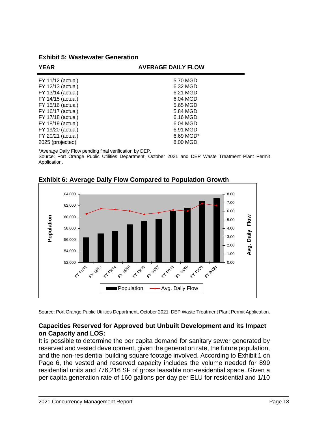**Exhibit 5: Wastewater Generation**

| <b>YEAR</b>       | <b>AVERAGE DAILY FLOW</b> |  |
|-------------------|---------------------------|--|
| FY 11/12 (actual) | 5.70 MGD                  |  |
| FY 12/13 (actual) | 6.32 MGD                  |  |
| FY 13/14 (actual) | 6.21 MGD                  |  |
| FY 14/15 (actual) | 6.04 MGD                  |  |
| FY 15/16 (actual) | 5.65 MGD                  |  |
| FY 16/17 (actual) | 5.84 MGD                  |  |
| FY 17/18 (actual) | 6.16 MGD                  |  |
| FY 18/19 (actual) | 6.04 MGD                  |  |
| FY 19/20 (actual) | 6.91 MGD                  |  |
| FY 20/21 (actual) | $6.69$ MGD <sup>*</sup>   |  |
| 2025 (projected)  | 8.00 MGD                  |  |

\*Average Daily Flow pending final verification by DEP.

Source: Port Orange Public Utilities Department, October 2021 and DEP Waste Treatment Plant Permit Application.



**Exhibit 6: Average Daily Flow Compared to Population Growth** 

Source: Port Orange Public Utilities Department, October 2021. DEP Waste Treatment Plant Permit Application.

## **Capacities Reserved for Approved but Unbuilt Development and its Impact on Capacity and LOS:**

It is possible to determine the per capita demand for sanitary sewer generated by reserved and vested development, given the generation rate, the future population, and the non-residential building square footage involved. According to Exhibit 1 on Page 6, the vested and reserved capacity includes the volume needed for 899 residential units and 776,216 SF of gross leasable non-residential space. Given a per capita generation rate of 160 gallons per day per ELU for residential and 1/10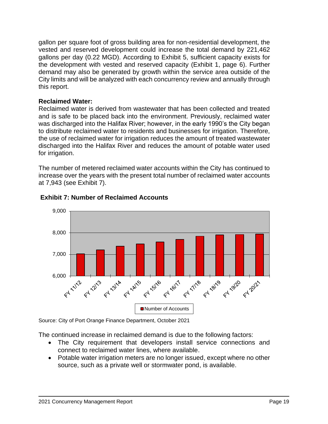gallon per square foot of gross building area for non-residential development, the vested and reserved development could increase the total demand by 221,462 gallons per day (0.22 MGD). According to Exhibit 5, sufficient capacity exists for the development with vested and reserved capacity (Exhibit 1, page 6). Further demand may also be generated by growth within the service area outside of the City limits and will be analyzed with each concurrency review and annually through this report.

## **Reclaimed Water:**

Reclaimed water is derived from wastewater that has been collected and treated and is safe to be placed back into the environment. Previously, reclaimed water was discharged into the Halifax River; however, in the early 1990's the City began to distribute reclaimed water to residents and businesses for irrigation. Therefore, the use of reclaimed water for irrigation reduces the amount of treated wastewater discharged into the Halifax River and reduces the amount of potable water used for irrigation.

The number of metered reclaimed water accounts within the City has continued to increase over the years with the present total number of reclaimed water accounts at 7,943 (see Exhibit 7).



## **Exhibit 7: Number of Reclaimed Accounts**

Source: City of Port Orange Finance Department, October 2021

The continued increase in reclaimed demand is due to the following factors:

- The City requirement that developers install service connections and connect to reclaimed water lines, where available.
- Potable water irrigation meters are no longer issued, except where no other source, such as a private well or stormwater pond, is available.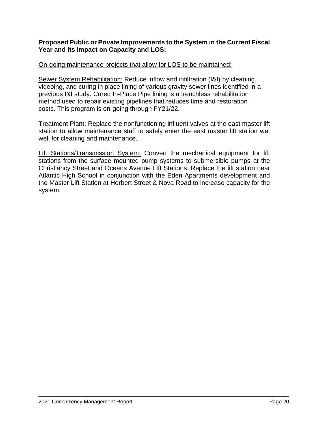## **Proposed Public or Private Improvements to the System in the Current Fiscal Year and its Impact on Capacity and LOS:**

## On-going maintenance projects that allow for LOS to be maintained:

Sewer System Rehabilitation: Reduce inflow and infiltration (I&I) by cleaning, videoing, and curing in place lining of various gravity sewer lines identified in a previous I&I study. Cured In-Place Pipe lining is a trenchless rehabilitation method used to repair existing pipelines that reduces time and restoration costs. This program is on-going through FY21/22.

Treatment Plant: Replace the nonfunctioning influent valves at the east master lift station to allow maintenance staff to safely enter the east master lift station wet well for cleaning and maintenance.

Lift Stations/Transmission System: Convert the mechanical equipment for lift stations from the surface mounted pump systems to submersible pumps at the Christiancy Street and Oceans Avenue Lift Stations. Replace the lift station near Atlantic High School in conjunction with the Eden Apartments development and the Master Lift Station at Herbert Street & Nova Road to increase capacity for the system.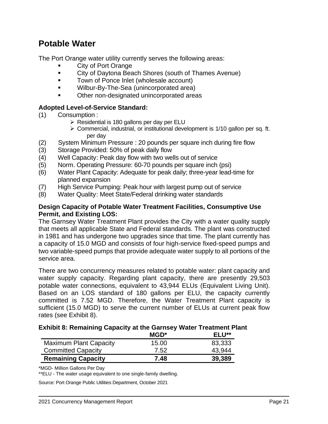## **Potable Water**

The Port Orange water utility currently serves the following areas:

- **City of Port Orange**
- City of Daytona Beach Shores (south of Thames Avenue)
- Town of Ponce Inlet (wholesale account)
- Wilbur-By-The-Sea (unincorporated area)
- Other non-designated unincorporated areas

## **Adopted Level-of-Service Standard:**

- (1) Consumption :
	- $\triangleright$  Residential is 180 gallons per day per ELU
	- ➢ Commercial, industrial, or institutional development is 1/10 gallon per sq. ft. per day
- (2) System Minimum Pressure : 20 pounds per square inch during fire flow
- (3) Storage Provided: 50% of peak daily flow
- (4) Well Capacity: Peak day flow with two wells out of service
- (5) Norm. Operating Pressure: 60-70 pounds per square inch (psi)
- (6) Water Plant Capacity: Adequate for peak daily; three-year lead-time for planned expansion
- (7) High Service Pumping: Peak hour with largest pump out of service
- (8) Water Quality: Meet State/Federal drinking water standards

## **Design Capacity of Potable Water Treatment Facilities, Consumptive Use Permit, and Existing LOS:**

The Garnsey Water Treatment Plant provides the City with a water quality supply that meets all applicable State and Federal standards. The plant was constructed in 1981 and has undergone two upgrades since that time. The plant currently has a capacity of 15.0 MGD and consists of four high-service fixed-speed pumps and two variable-speed pumps that provide adequate water supply to all portions of the service area.

There are two concurrency measures related to potable water: plant capacity and water supply capacity. Regarding plant capacity, there are presently 29,503 potable water connections, equivalent to 43,944 ELUs (Equivalent Living Unit). Based on an LOS standard of 180 gallons per ELU, the capacity currently committed is 7.52 MGD. Therefore, the Water Treatment Plant capacity is sufficient (15.0 MGD) to serve the current number of ELUs at current peak flow rates (see Exhibit 8).

## **Exhibit 8: Remaining Capacity at the Garnsey Water Treatment Plant**

|                               | $MGD^*$ | ELU**  |
|-------------------------------|---------|--------|
| <b>Maximum Plant Capacity</b> | 15.00   | 83,333 |
| <b>Committed Capacity</b>     | 7.52    | 43.944 |
| <b>Remaining Capacity</b>     | 7.48    | 39,389 |

\*MGD- Million Gallons Per Day

 $\overline{a}$ 

\*\*ELU - The water usage equivalent to one single-family dwelling.

Source: Port Orange Public Utilities Department, October 2021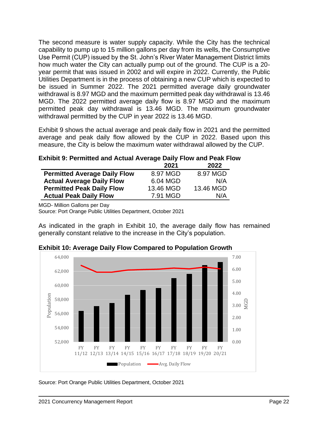The second measure is water supply capacity. While the City has the technical capability to pump up to 15 million gallons per day from its wells, the Consumptive Use Permit (CUP) issued by the St. John's River Water Management District limits how much water the City can actually pump out of the ground. The CUP is a 20 year permit that was issued in 2002 and will expire in 2022. Currently, the Public Utilities Department is in the process of obtaining a new CUP which is expected to be issued in Summer 2022. The 2021 permitted average daily groundwater withdrawal is 8.97 MGD and the maximum permitted peak day withdrawal is 13.46 MGD. The 2022 permitted average daily flow is 8.97 MGD and the maximum permitted peak day withdrawal is 13.46 MGD. The maximum groundwater withdrawal permitted by the CUP in year 2022 is 13.46 MGD.

Exhibit 9 shows the actual average and peak daily flow in 2021 and the permitted average and peak daily flow allowed by the CUP in 2022. Based upon this measure, the City is below the maximum water withdrawal allowed by the CUP.

|                                     | 2021      | 2022      |
|-------------------------------------|-----------|-----------|
| <b>Permitted Average Daily Flow</b> | 8.97 MGD  | 8.97 MGD  |
| <b>Actual Average Daily Flow</b>    | 6.04 MGD  | N/A       |
| <b>Permitted Peak Daily Flow</b>    | 13.46 MGD | 13.46 MGD |
| <b>Actual Peak Daily Flow</b>       | 7.91 MGD  | N/A       |

MGD- Million Gallons per Day

Source: Port Orange Public Utilities Department, October 2021

As indicated in the graph in Exhibit 10, the average daily flow has remained generally constant relative to the increase in the City's population.



**Exhibit 10: Average Daily Flow Compared to Population Growth**

Source: Port Orange Public Utilities Department, October 2021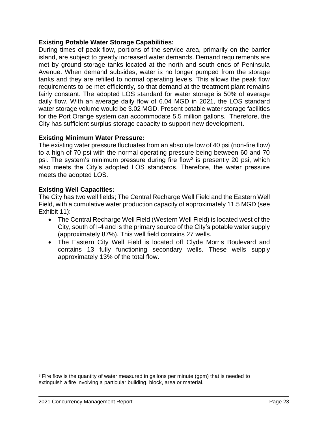## **Existing Potable Water Storage Capabilities:**

During times of peak flow, portions of the service area, primarily on the barrier island, are subject to greatly increased water demands. Demand requirements are met by ground storage tanks located at the north and south ends of Peninsula Avenue. When demand subsides, water is no longer pumped from the storage tanks and they are refilled to normal operating levels. This allows the peak flow requirements to be met efficiently, so that demand at the treatment plant remains fairly constant. The adopted LOS standard for water storage is 50% of average daily flow. With an average daily flow of 6.04 MGD in 2021, the LOS standard water storage volume would be 3.02 MGD. Present potable water storage facilities for the Port Orange system can accommodate 5.5 million gallons. Therefore, the City has sufficient surplus storage capacity to support new development.

## **Existing Minimum Water Pressure:**

The existing water pressure fluctuates from an absolute low of 40 psi (non-fire flow) to a high of 70 psi with the normal operating pressure being between 60 and 70 psi. The system's minimum pressure during fire flow<sup>3</sup> is presently 20 psi, which also meets the City's adopted LOS standards. Therefore, the water pressure meets the adopted LOS.

## **Existing Well Capacities:**

The City has two well fields; The Central Recharge Well Field and the Eastern Well Field, with a cumulative water production capacity of approximately 11.5 MGD (see Exhibit 11):

- The Central Recharge Well Field (Western Well Field) is located west of the City, south of I-4 and is the primary source of the City's potable water supply (approximately 87%). This well field contains 27 wells.
- The Eastern City Well Field is located off Clyde Morris Boulevard and contains 13 fully functioning secondary wells. These wells supply approximately 13% of the total flow.

<sup>&</sup>lt;sup>3</sup> Fire flow is the quantity of water measured in gallons per minute (gpm) that is needed to extinguish a fire involving a particular building, block, area or material.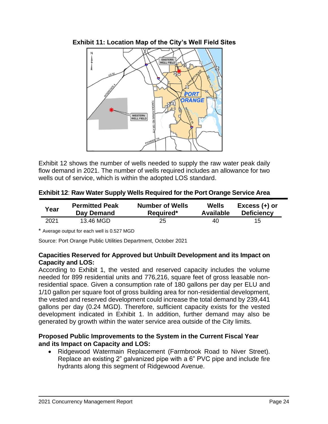

Exhibit 12 shows the number of wells needed to supply the raw water peak daily flow demand in 2021. The number of wells required includes an allowance for two wells out of service, which is within the adopted LOS standard.

**Exhibit 12**: **Raw Water Supply Wells Required for the Port Orange Service Area**

| Year | <b>Permitted Peak</b> | <b>Number of Wells</b> | Wells            | $Excess (+)$ or   |
|------|-----------------------|------------------------|------------------|-------------------|
|      | Day Demand            | Required*              | <b>Available</b> | <b>Deficiency</b> |
| 2021 | 13.46 MGD             | 25                     | 40               | 15.               |

\* Average output for each well is 0.527 MGD

Source: Port Orange Public Utilities Department, October 2021

## **Capacities Reserved for Approved but Unbuilt Development and its Impact on Capacity and LOS:**

According to Exhibit 1, the vested and reserved capacity includes the volume needed for 899 residential units and 776,216, square feet of gross leasable nonresidential space. Given a consumption rate of 180 gallons per day per ELU and 1/10 gallon per square foot of gross building area for non-residential development, the vested and reserved development could increase the total demand by 239,441 gallons per day (0.24 MGD). Therefore, sufficient capacity exists for the vested development indicated in Exhibit 1. In addition, further demand may also be generated by growth within the water service area outside of the City limits.

## **Proposed Public Improvements to the System in the Current Fiscal Year and its Impact on Capacity and LOS:**

• Ridgewood Watermain Replacement (Farmbrook Road to Niver Street). Replace an existing 2" galvanized pipe with a 6" PVC pipe and include fire hydrants along this segment of Ridgewood Avenue.

**Exhibit 11: Location Map of the City's Well Field Sites**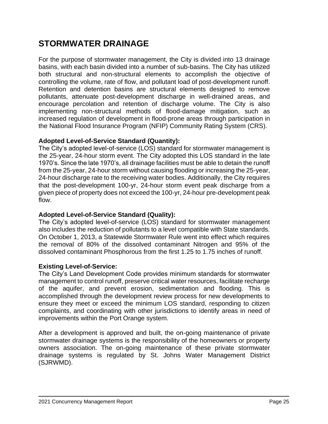# **STORMWATER DRAINAGE**

For the purpose of stormwater management, the City is divided into 13 drainage basins, with each basin divided into a number of sub-basins. The City has utilized both structural and non-structural elements to accomplish the objective of controlling the volume, rate of flow, and pollutant load of post-development runoff. Retention and detention basins are structural elements designed to remove pollutants, attenuate post-development discharge in well-drained areas, and encourage percolation and retention of discharge volume. The City is also implementing non-structural methods of flood-damage mitigation, such as increased regulation of development in flood-prone areas through participation in the National Flood Insurance Program (NFIP) Community Rating System (CRS).

## **Adopted Level-of-Service Standard (Quantity):**

The City's adopted level-of-service (LOS) standard for stormwater management is the 25-year, 24-hour storm event. The City adopted this LOS standard in the late 1970's. Since the late 1970's, all drainage facilities must be able to detain the runoff from the 25-year, 24-hour storm without causing flooding or increasing the 25-year, 24-hour discharge rate to the receiving water bodies. Additionally, the City requires that the post-development 100-yr, 24-hour storm event peak discharge from a given piece of property does not exceed the 100-yr, 24-hour pre-development peak flow.

## **Adopted Level-of-Service Standard (Quality):**

The City's adopted level-of-service (LOS) standard for stormwater management also includes the reduction of pollutants to a level compatible with State standards. On October 1, 2013, a Statewide Stormwater Rule went into effect which requires the removal of 80% of the dissolved contaminant Nitrogen and 95% of the dissolved contaminant Phosphorous from the first 1.25 to 1.75 inches of runoff.

## **Existing Level-of-Service:**

The City's Land Development Code provides minimum standards for stormwater management to control runoff, preserve critical water resources, facilitate recharge of the aquifer, and prevent erosion, sedimentation and flooding. This is accomplished through the development review process for new developments to ensure they meet or exceed the minimum LOS standard, responding to citizen complaints, and coordinating with other jurisdictions to identify areas in need of improvements within the Port Orange system.

After a development is approved and built, the on-going maintenance of private stormwater drainage systems is the responsibility of the homeowners or property owners association. The on-going maintenance of these private stormwater drainage systems is regulated by St. Johns Water Management District (SJRWMD).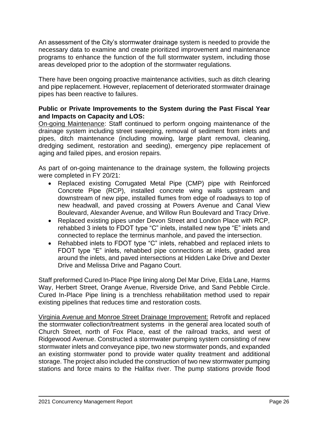An assessment of the City's stormwater drainage system is needed to provide the necessary data to examine and create prioritized improvement and maintenance programs to enhance the function of the full stormwater system, including those areas developed prior to the adoption of the stormwater regulations.

There have been ongoing proactive maintenance activities, such as ditch clearing and pipe replacement. However, replacement of deteriorated stormwater drainage pipes has been reactive to failures.

## **Public or Private Improvements to the System during the Past Fiscal Year and Impacts on Capacity and LOS:**

On-going Maintenance: Staff continued to perform ongoing maintenance of the drainage system including street sweeping, removal of sediment from inlets and pipes, ditch maintenance (including mowing, large plant removal, cleaning, dredging sediment, restoration and seeding), emergency pipe replacement of aging and failed pipes, and erosion repairs.

As part of on-going maintenance to the drainage system, the following projects were completed in FY 20/21:

- Replaced existing Corrugated Metal Pipe (CMP) pipe with Reinforced Concrete Pipe (RCP), installed concrete wing walls upstream and downstream of new pipe, installed flumes from edge of roadways to top of new headwall, and paved crossing at Powers Avenue and Canal View Boulevard, Alexander Avenue, and Willow Run Boulevard and Tracy Drive.
- Replaced existing pipes under Devon Street and London Place with RCP, rehabbed 3 inlets to FDOT type "C" inlets, installed new type "E" inlets and connected to replace the terminus manhole, and paved the intersection.
- Rehabbed inlets to FDOT type "C" inlets, rehabbed and replaced inlets to FDOT type "E" inlets, rehabbed pipe connections at inlets, graded area around the inlets, and paved intersections at Hidden Lake Drive and Dexter Drive and Melissa Drive and Pagano Court.

Staff preformed Cured In-Place Pipe lining along Del Mar Drive, Elda Lane, Harms Way, Herbert Street, Orange Avenue, Riverside Drive, and Sand Pebble Circle. Cured In-Place Pipe lining is a trenchless rehabilitation method used to repair existing pipelines that reduces time and restoration costs.

Virginia Avenue and Monroe Street Drainage Improvement: Retrofit and replaced the stormwater collection/treatment systems in the general area located south of Church Street, north of Fox Place, east of the railroad tracks, and west of Ridgewood Avenue. Constructed a stormwater pumping system consisting of new stormwater inlets and conveyance pipe, two new stormwater ponds, and expanded an existing stormwater pond to provide water quality treatment and additional storage. The project also included the construction of two new stormwater pumping stations and force mains to the Halifax river. The pump stations provide flood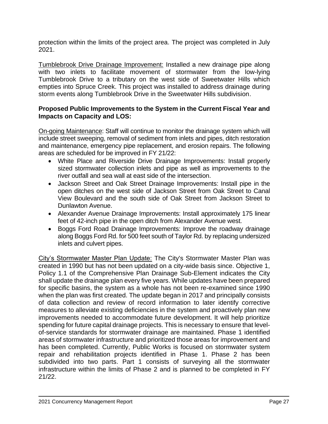protection within the limits of the project area. The project was completed in July 2021.

Tumblebrook Drive Drainage Improvement: Installed a new drainage pipe along with two inlets to facilitate movement of stormwater from the low-lying Tumblebrook Drive to a tributary on the west side of Sweetwater Hills which empties into Spruce Creek. This project was installed to address drainage during storm events along Tumblebrook Drive in the Sweetwater Hills subdivision.

## **Proposed Public Improvements to the System in the Current Fiscal Year and Impacts on Capacity and LOS:**

On-going Maintenance: Staff will continue to monitor the drainage system which will include street sweeping, removal of sediment from inlets and pipes, ditch restoration and maintenance, emergency pipe replacement, and erosion repairs. The following areas are scheduled for be improved in FY 21/22:

- White Place and Riverside Drive Drainage Improvements: Install properly sized stormwater collection inlets and pipe as well as improvements to the river outfall and sea wall at east side of the intersection.
- Jackson Street and Oak Street Drainage Improvements: Install pipe in the open ditches on the west side of Jackson Street from Oak Street to Canal View Boulevard and the south side of Oak Street from Jackson Street to Dunlawton Avenue.
- Alexander Avenue Drainage Improvements: Install approximately 175 linear feet of 42-inch pipe in the open ditch from Alexander Avenue west.
- Boggs Ford Road Drainage Improvements: Improve the roadway drainage along Boggs Ford Rd. for 500 feet south of Taylor Rd. by replacing undersized inlets and culvert pipes.

City's Stormwater Master Plan Update: The City's Stormwater Master Plan was created in 1990 but has not been updated on a city-wide basis since. Objective 1, Policy 1.1 of the Comprehensive Plan Drainage Sub-Element indicates the City shall update the drainage plan every five years. While updates have been prepared for specific basins, the system as a whole has not been re-examined since 1990 when the plan was first created. The update began in 2017 and principally consists of data collection and review of record information to later identify corrective measures to alleviate existing deficiencies in the system and proactively plan new improvements needed to accommodate future development. It will help prioritize spending for future capital drainage projects. This is necessary to ensure that levelof-service standards for stormwater drainage are maintained. Phase 1 identified areas of stormwater infrastructure and prioritized those areas for improvement and has been completed. Currently, Public Works is focused on stormwater system repair and rehabilitation projects identified in Phase 1. Phase 2 has been subdivided into two parts. Part 1 consists of surveying all the stormwater infrastructure within the limits of Phase 2 and is planned to be completed in FY 21/22.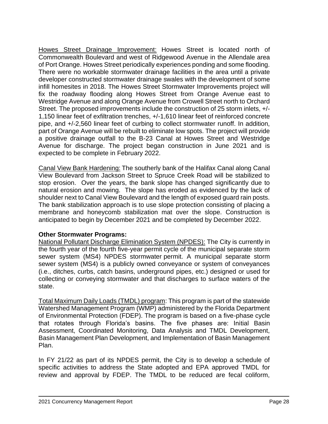Howes Street Drainage Improvement: Howes Street is located north of Commonwealth Boulevard and west of Ridgewood Avenue in the Allendale area of Port Orange. Howes Street periodically experiences ponding and some flooding. There were no workable stormwater drainage facilities in the area until a private developer constructed stormwater drainage swales with the development of some infill homesites in 2018. The Howes Street Stormwater Improvements project will fix the roadway flooding along Howes Street from Orange Avenue east to Westridge Avenue and along Orange Avenue from Crowell Street north to Orchard Street. The proposed improvements include the construction of 25 storm inlets, +/- 1,150 linear feet of exfiltration trenches, +/-1,610 linear feet of reinforced concrete pipe, and +/-2,560 linear feet of curbing to collect stormwater runoff. In addition, part of Orange Avenue will be rebuilt to eliminate low spots. The project will provide a positive drainage outfall to the B-23 Canal at Howes Street and Westridge Avenue for discharge. The project began construction in June 2021 and is expected to be complete in February 2022.

Canal View Bank Hardening: The southerly bank of the Halifax Canal along Canal View Boulevard from Jackson Street to Spruce Creek Road will be stabilized to stop erosion. Over the years, the bank slope has changed significantly due to natural erosion and mowing. The slope has eroded as evidenced by the lack of shoulder next to Canal View Boulevard and the length of exposed guard rain posts. The bank stabilization approach is to use slope protection consisting of placing a membrane and honeycomb stabilization mat over the slope. Construction is anticipated to begin by December 2021 and be completed by December 2022.

## **Other Stormwater Programs:**

National Pollutant Discharge Elimination System (NPDES): The City is currently in the fourth year of the fourth five-year permit cycle of the municipal separate storm sewer system (MS4) NPDES stormwater permit. A municipal separate storm sewer system (MS4) is a publicly owned conveyance or system of conveyances (i.e., ditches, curbs, catch basins, underground pipes, etc.) designed or used for collecting or conveying stormwater and that discharges to surface waters of the state.

Total Maximum Daily Loads (TMDL) program: This program is part of the statewide Watershed Management Program (WMP) administered by the Florida Department of Environmental Protection (FDEP). The program is based on a five-phase cycle that rotates through Florida's basins. The five phases are: Initial Basin Assessment, Coordinated Monitoring, Data Analysis and TMDL Development, Basin Management Plan Development, and Implementation of Basin Management Plan.

In FY 21/22 as part of its NPDES permit, the City is to develop a schedule of specific activities to address the State adopted and EPA approved TMDL for review and approval by FDEP. The TMDL to be reduced are fecal coliform,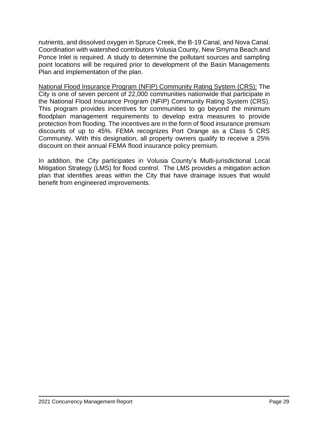nutrients, and dissolved oxygen in Spruce Creek, the B-19 Canal, and Nova Canal. Coordination with watershed contributors Volusia County, New Smyrna Beach and Ponce Inlet is required. A study to determine the pollutant sources and sampling point locations will be required prior to development of the Basin Managements Plan and implementation of the plan.

National Flood Insurance Program (NFIP) Community Rating System (CRS): The City is one of seven percent of 22,000 communities nationwide that participate in the National Flood Insurance Program (NFIP) Community Rating System (CRS). This program provides incentives for communities to go beyond the minimum floodplain management requirements to develop extra measures to provide protection from flooding. The incentives are in the form of flood insurance premium discounts of up to 45%. FEMA recognizes Port Orange as a Class 5 CRS Community. With this designation, all property owners qualify to receive a 25% discount on their annual FEMA flood insurance policy premium.

In addition, the City participates in Volusia County's Multi-jurisdictional Local Mitigation Strategy (LMS) for flood control. The LMS provides a mitigation action plan that identifies areas within the City that have drainage issues that would benefit from engineered improvements.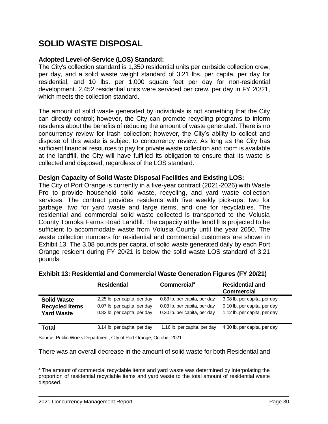## **SOLID WASTE DISPOSAL**

## **Adopted Level-of-Service (LOS) Standard:**

The City's collection standard is 1,350 residential units per curbside collection crew, per day, and a solid waste weight standard of 3.21 lbs. per capita, per day for residential, and 10 lbs. per 1,000 square feet per day for non-residential development. 2,452 residential units were serviced per crew, per day in FY 20/21, which meets the collection standard.

The amount of solid waste generated by individuals is not something that the City can directly control; however, the City can promote recycling programs to inform residents about the benefits of reducing the amount of waste generated. There is no concurrency review for trash collection; however, the City's ability to collect and dispose of this waste is subject to concurrency review. As long as the City has sufficient financial resources to pay for private waste collection and room is available at the landfill, the City will have fulfilled its obligation to ensure that its waste is collected and disposed, regardless of the LOS standard.

## **Design Capacity of Solid Waste Disposal Facilities and Existing LOS:**

The City of Port Orange is currently in a five-year contract (2021-2026) with Waste Pro to provide household solid waste, recycling, and yard waste collection services. The contract provides residents with five weekly pick-ups: two for garbage, two for yard waste and large items, and one for recyclables. The residential and commercial solid waste collected is transported to the Volusia County Tomoka Farms Road Landfill. The capacity at the landfill is projected to be sufficient to accommodate waste from Volusia County until the year 2050. The waste collection numbers for residential and commercial customers are shown in Exhibit 13. The 3.08 pounds per capita, of solid waste generated daily by each Port Orange resident during FY 20/21 is below the solid waste LOS standard of 3.21 pounds.

|                       | <b>Residential</b>           | Commercial <sup>4</sup>      | <b>Residential and</b><br><b>Commercial</b> |
|-----------------------|------------------------------|------------------------------|---------------------------------------------|
| <b>Solid Waste</b>    | 2.25 lb. per capita, per day | 0.83 lb. per capita, per day | 3.08 lb. per capita, per day                |
| <b>Recycled Items</b> | 0.07 lb. per capita, per day | 0.03 lb. per capita, per day | 0.10 lb. per capita, per day                |
| <b>Yard Waste</b>     | 0.82 lb. per capita, per day | 0.30 lb. per capita, per day | 1.12 lb. per capita, per day                |
| <b>Total</b>          | 3.14 lb. per capita, per day | 1.16 lb. per capita, per day | 4.30 lb. per capita, per day                |

|  | Exhibit 13: Residential and Commercial Waste Generation Figures (FY 20/21) |
|--|----------------------------------------------------------------------------|
|--|----------------------------------------------------------------------------|

Source: Public Works Department, City of Port Orange, October 2021

There was an overall decrease in the amount of solid waste for both Residential and

<sup>4</sup> The amount of commercial recyclable items and yard waste was determined by interpolating the proportion of residential recyclable items and yard waste to the total amount of residential waste disposed.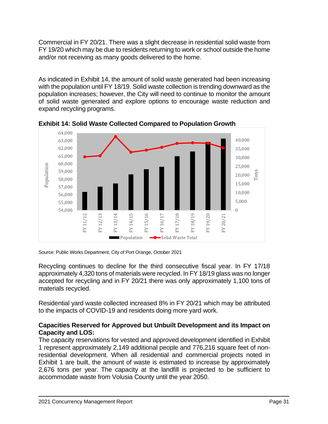Commercial in FY 20/21. There was a slight decrease in residential solid waste from FY 19/20 which may be due to residents returning to work or school outside the home and/or not receiving as many goods delivered to the home.

As indicated in Exhibit 14, the amount of solid waste generated had been increasing with the population until FY 18/19. Solid waste collection is trending downward as the population increases; however, the City will need to continue to monitor the amount of solid waste generated and explore options to encourage waste reduction and expand recycling programs.



**Exhibit 14: Solid Waste Collected Compared to Population Growth** 

Source: Public Works Department, City of Port Orange, October 2021

Recycling continues to decline for the third consecutive fiscal year. In FY 17/18 approximately 4,320 tons of materials were recycled. In FY 18/19 glass was no longer accepted for recycling and in FY 20/21 there was only approximately 1,100 tons of materials recycled.

Residential yard waste collected increased 8% in FY 20/21 which may be attributed to the impacts of COVID-19 and residents doing more yard work.

## **Capacities Reserved for Approved but Unbuilt Development and its Impact on Capacity and LOS:**

The capacity reservations for vested and approved development identified in Exhibit 1 represent approximately 2,149 additional people and 776,216 square feet of nonresidential development. When all residential and commercial projects noted in Exhibit 1 are built, the amount of waste is estimated to increase by approximately 2,676 tons per year. The capacity at the landfill is projected to be sufficient to accommodate waste from Volusia County until the year 2050.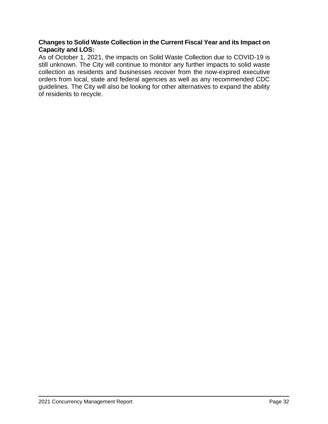## **Changes to Solid Waste Collection in the Current Fiscal Year and its Impact on Capacity and LOS:**

As of October 1, 2021, the impacts on Solid Waste Collection due to COVID-19 is still unknown. The City will continue to monitor any further impacts to solid waste collection as residents and businesses recover from the now-expired executive orders from local, state and federal agencies as well as any recommended CDC guidelines. The City will also be looking for other alternatives to expand the ability of residents to recycle.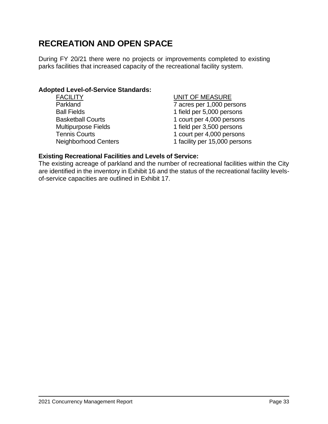# **RECREATION AND OPEN SPACE**

During FY 20/21 there were no projects or improvements completed to existing parks facilities that increased capacity of the recreational facility system.

#### **Adopted Level-of-Service Standards:**

| <b>FACILITY</b>             | <b>UNIT OF MEASURE</b>        |
|-----------------------------|-------------------------------|
| Parkland                    | 7 acres per 1,000 persons     |
| <b>Ball Fields</b>          | 1 field per 5,000 persons     |
| <b>Basketball Courts</b>    | 1 court per 4,000 persons     |
| <b>Multipurpose Fields</b>  | 1 field per 3,500 persons     |
| <b>Tennis Courts</b>        | 1 court per 4,000 persons     |
| <b>Neighborhood Centers</b> | 1 facility per 15,000 persons |
|                             |                               |

## **Existing Recreational Facilities and Levels of Service:**

The existing acreage of parkland and the number of recreational facilities within the City are identified in the inventory in Exhibit 16 and the status of the recreational facility levelsof-service capacities are outlined in Exhibit 17.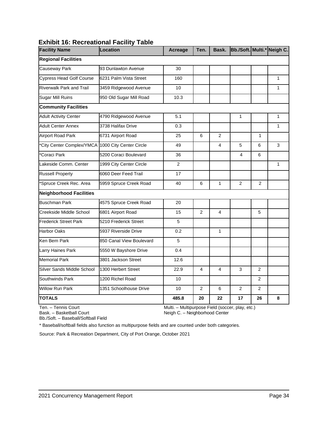| <b>19. Roof cational Taomi</b><br><b>Facility Name</b> | Location                 | <b>Acreage</b> | Ten. | Bask.          | Bb./Soft. Multi.* Neigh C. |                |              |
|--------------------------------------------------------|--------------------------|----------------|------|----------------|----------------------------|----------------|--------------|
| <b>Regional Facilities</b>                             |                          |                |      |                |                            |                |              |
| Causeway Park                                          | 93 Dunlawton Avenue      | 30             |      |                |                            |                |              |
| <b>Cypress Head Golf Course</b>                        | 6231 Palm Vista Street   | 160            |      |                |                            |                | $\mathbf{1}$ |
| <b>Riverwalk Park and Trail</b>                        | 3459 Ridgewood Avenue    | 10             |      |                |                            |                | 1            |
| <b>Sugar Mill Ruins</b>                                | 950 Old Sugar Mill Road  | 10.3           |      |                |                            |                |              |
| <b>Community Facilities</b>                            |                          |                |      |                |                            |                |              |
| <b>Adult Activity Center</b>                           | 4790 Ridgewood Avenue    | 5.1            |      |                | $\mathbf{1}$               |                | $\mathbf{1}$ |
| <b>Adult Center Annex</b>                              | 3738 Halifax Drive       | 0.3            |      |                |                            |                | $\mathbf{1}$ |
| <b>Airport Road Park</b>                               | 6731 Airport Road        | 25             | 6    | $\overline{2}$ |                            | $\mathbf{1}$   |              |
| *City Center Complex/YMCA 1000 City Center Circle      |                          | 49             |      | 4              | 5                          | 6              | 3            |
| *Coraci Park                                           | 5200 Coraci Boulevard    | 36             |      |                | 4                          | 6              |              |
| Lakeside Comm. Center                                  | 1999 City Center Circle  | 2              |      |                |                            |                | $\mathbf{1}$ |
| <b>Russell Property</b>                                | 6060 Deer Feed Trail     | 17             |      |                |                            |                |              |
| Spruce Creek Rec. Area                                 | 5959 Spruce Creek Road   | 40             | 6    | $\mathbf{1}$   | 2                          | 2              |              |
| <b>Neighborhood Facilities</b>                         |                          |                |      |                |                            |                |              |
| <b>Buschman Park</b>                                   | 4575 Spruce Creek Road   | 20             |      |                |                            |                |              |
| Creekside Middle School                                | 6801 Airport Road        | 15             | 2    | 4              |                            | 5              |              |
| <b>Frederick Street Park</b>                           | 5210 Frederick Street    | 5              |      |                |                            |                |              |
| <b>Harbor Oaks</b>                                     | 5937 Riverside Drive     | 0.2            |      | $\mathbf{1}$   |                            |                |              |
| Ken Bern Park                                          | 850 Canal View Boulevard | 5              |      |                |                            |                |              |
| Larry Haines Park                                      | 5550 W Bayshore Drive    | 0.4            |      |                |                            |                |              |
| <b>Memorial Park</b>                                   | 3801 Jackson Street      | 12.6           |      |                |                            |                |              |
| Silver Sands Middle School                             | 1300 Herbert Street      | 22.9           | 4    | 4              | 3                          | $\overline{2}$ |              |
| Southwinds Park                                        | 1200 Richel Road         | 10             |      |                |                            | 2              |              |
| <b>Willow Run Park</b>                                 | 1351 Schoolhouse Drive   | 10             | 2    | 6              | 2                          | 2              |              |
| <b>TOTALS</b>                                          |                          | 485.8          | 20   | 22             | 17                         | 26             | 8            |

## **Exhibit 16: Recreational Facility Table**

Ten. – Tennis Court Bask. – Basketball Court

 $\overline{a}$ 

Multi. – Multipurpose Field (soccer, play, etc.) Neigh C. – Neighborhood Center

Bb./Soft. – Baseball/Softball Field

\* Baseball/softball fields also function as multipurpose fields and are counted under both categories.

Source: Park & Recreation Department, City of Port Orange, October 2021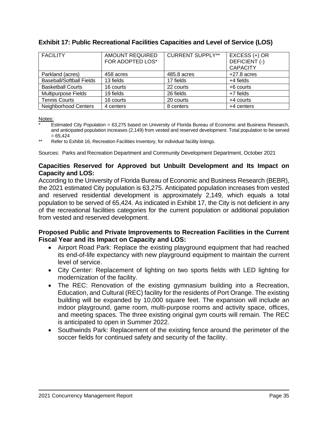| <b>FACILITY</b>            | <b>AMOUNT REQUIRED</b> | <b>CURRENT SUPPLY**</b> | $EXCESS (+) OR$ |
|----------------------------|------------------------|-------------------------|-----------------|
|                            | FOR ADOPTED LOS*       |                         | DEFICIENT (-)   |
|                            |                        |                         | <b>CAPACITY</b> |
| Parkland (acres)           | 458 acres              | 485.8 acres             | $+27.8$ acres   |
| Baseball/Softball Fields   | 13 fields              | 17 fields               | $+4$ fields     |
| <b>Basketball Courts</b>   | 16 courts              | 22 courts               | +6 courts       |
| <b>Multipurpose Fields</b> | 19 fields              | 26 fields               | $+7$ fields     |
| <b>Tennis Courts</b>       | 16 courts              | 20 courts               | +4 courts       |
| Neighborhood Centers       | 4 centers              | 8 centers               | +4 centers      |

## **Exhibit 17: Public Recreational Facilities Capacities and Level of Service (LOS)**

Notes:

- Estimated City Population = 63,275 based on University of Florida Bureau of Economic and Business Research, and anticipated population increases (2,149) from vested and reserved development. Total population to be served  $= 65,424$
- Refer to Exhibit 16, Recreation Facilities Inventory, for individual facility listings.

Sources: Parks and Recreation Department and Community Development Department, October 2021

## **Capacities Reserved for Approved but Unbuilt Development and Its Impact on Capacity and LOS:**

According to the University of Florida Bureau of Economic and Business Research (BEBR), the 2021 estimated City population is 63,275. Anticipated population increases from vested and reserved residential development is approximately 2,149, which equals a total population to be served of 65,424. As indicated in Exhibit 17, the City is not deficient in any of the recreational facilities categories for the current population or additional population from vested and reserved development.

## **Proposed Public and Private Improvements to Recreation Facilities in the Current Fiscal Year and its Impact on Capacity and LOS:**

- Airport Road Park*:* Replace the existing playground equipment that had reached its end-of-life expectancy with new playground equipment to maintain the current level of service.
- City Center: Replacement of lighting on two sports fields with LED lighting for modernization of the facility.
- The REC: Renovation of the existing gymnasium building into a Recreation, Education, and Cultural (REC) facility for the residents of Port Orange. The existing building will be expanded by 10,000 square feet. The expansion will include an indoor playground, game room, multi-purpose rooms and activity space, offices, and meeting spaces. The three existing original gym courts will remain. The REC is anticipated to open in Summer 2022.
- Southwinds Park: Replacement of the existing fence around the perimeter of the soccer fields for continued safety and security of the facility.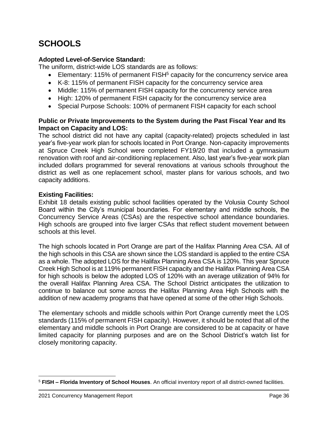# **SCHOOLS**

## **Adopted Level-of-Service Standard:**

The uniform, district-wide LOS standards are as follows:

- Elementary: 115% of permanent  $FISH<sup>5</sup>$  capacity for the concurrency service area
- K-8: 115% of permanent FISH capacity for the concurrency service area
- Middle: 115% of permanent FISH capacity for the concurrency service area
- High: 120% of permanent FISH capacity for the concurrency service area
- Special Purpose Schools: 100% of permanent FISH capacity for each school

## **Public or Private Improvements to the System during the Past Fiscal Year and Its Impact on Capacity and LOS:**

The school district did not have any capital (capacity-related) projects scheduled in last year's five-year work plan for schools located in Port Orange. Non-capacity improvements at Spruce Creek High School were completed FY19/20 that included a gymnasium renovation with roof and air-conditioning replacement. Also, last year's five-year work plan included dollars programmed for several renovations at various schools throughout the district as well as one replacement school, master plans for various schools, and two capacity additions.

## **Existing Facilities:**

Exhibit 18 details existing public school facilities operated by the Volusia County School Board within the City's municipal boundaries. For elementary and middle schools, the Concurrency Service Areas (CSAs) are the respective school attendance boundaries. High schools are grouped into five larger CSAs that reflect student movement between schools at this level.

The high schools located in Port Orange are part of the Halifax Planning Area CSA. All of the high schools in this CSA are shown since the LOS standard is applied to the entire CSA as a whole. The adopted LOS for the Halifax Planning Area CSA is 120%. This year Spruce Creek High School is at 119% permanent FISH capacity and the Halifax Planning Area CSA for high schools is below the adopted LOS of 120% with an average utilization of 94% for the overall Halifax Planning Area CSA. The School District anticipates the utilization to continue to balance out some across the Halifax Planning Area High Schools with the addition of new academy programs that have opened at some of the other High Schools.

The elementary schools and middle schools within Port Orange currently meet the LOS standards (115% of permanent FISH capacity). However, it should be noted that all of the elementary and middle schools in Port Orange are considered to be at capacity or have limited capacity for planning purposes and are on the School District's watch list for closely monitoring capacity.

<sup>5</sup> **FISH – Florida Inventory of School Houses**. An official inventory report of all district-owned facilities.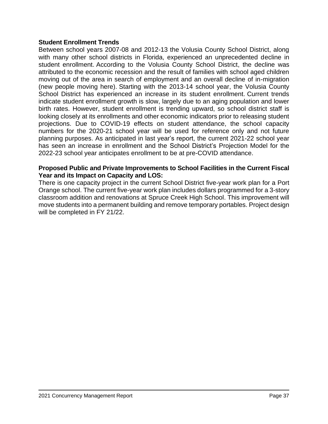#### **Student Enrollment Trends**

Between school years 2007-08 and 2012-13 the Volusia County School District, along with many other school districts in Florida, experienced an unprecedented decline in student enrollment. According to the Volusia County School District, the decline was attributed to the economic recession and the result of families with school aged children moving out of the area in search of employment and an overall decline of in-migration (new people moving here). Starting with the 2013-14 school year, the Volusia County School District has experienced an increase in its student enrollment. Current trends indicate student enrollment growth is slow, largely due to an aging population and lower birth rates. However, student enrollment is trending upward, so school district staff is looking closely at its enrollments and other economic indicators prior to releasing student projections. Due to COVID-19 effects on student attendance, the school capacity numbers for the 2020-21 school year will be used for reference only and not future planning purposes. As anticipated in last year's report, the current 2021-22 school year has seen an increase in enrollment and the School District's Projection Model for the 2022-23 school year anticipates enrollment to be at pre-COVID attendance.

#### **Proposed Public and Private Improvements to School Facilities in the Current Fiscal Year and its Impact on Capacity and LOS:**

There is one capacity project in the current School District five-year work plan for a Port Orange school. The current five-year work plan includes dollars programmed for a 3-story classroom addition and renovations at Spruce Creek High School. This improvement will move students into a permanent building and remove temporary portables. Project design will be completed in FY 21/22.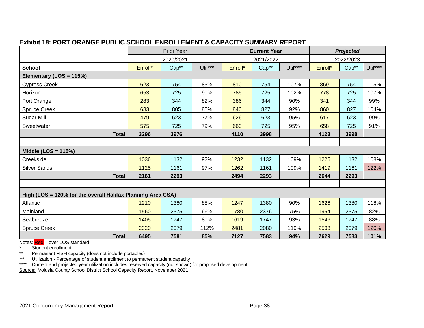|--|

|                                                             | <b>Prior Year</b> |       | <b>Current Year</b> |         |       | <b>Projected</b> |         |       |          |
|-------------------------------------------------------------|-------------------|-------|---------------------|---------|-------|------------------|---------|-------|----------|
|                                                             | 2020/2021         |       | 2021/2022           |         |       | 2022/2023        |         |       |          |
| <b>School</b>                                               | Enroll*           | Cap** | Util***             | Enroll* | Cap** | Util****         | Enroll* | Cap** | Util**** |
| Elementary (LOS = 115%)                                     |                   |       |                     |         |       |                  |         |       |          |
| <b>Cypress Creek</b>                                        | 623               | 754   | 83%                 | 810     | 754   | 107%             | 869     | 754   | 115%     |
| Horizon                                                     | 653               | 725   | 90%                 | 785     | 725   | 102%             | 778     | 725   | 107%     |
| Port Orange                                                 | 283               | 344   | 82%                 | 386     | 344   | 90%              | 341     | 344   | 99%      |
| <b>Spruce Creek</b>                                         | 683               | 805   | 85%                 | 840     | 827   | 92%              | 860     | 827   | 104%     |
| Sugar Mill                                                  | 479               | 623   | 77%                 | 626     | 623   | 95%              | 617     | 623   | 99%      |
| Sweetwater                                                  | 575               | 725   | 79%                 | 663     | 725   | 95%              | 658     | 725   | 91%      |
| <b>Total</b>                                                | 3296              | 3976  |                     | 4110    | 3998  |                  | 4123    | 3998  |          |
|                                                             |                   |       |                     |         |       |                  |         |       |          |
| Middle (LOS = $115%$ )                                      |                   |       |                     |         |       |                  |         |       |          |
| Creekside                                                   | 1036              | 1132  | 92%                 | 1232    | 1132  | 109%             | 1225    | 1132  | 108%     |
| <b>Silver Sands</b>                                         | 1125              | 1161  | 97%                 | 1262    | 1161  | 109%             | 1419    | 1161  | 122%     |
| <b>Total</b>                                                | 2161              | 2293  |                     | 2494    | 2293  |                  | 2644    | 2293  |          |
|                                                             |                   |       |                     |         |       |                  |         |       |          |
| High (LOS = 120% for the overall Halifax Planning Area CSA) |                   |       |                     |         |       |                  |         |       |          |
| Atlantic                                                    | 1210              | 1380  | 88%                 | 1247    | 1380  | 90%              | 1626    | 1380  | 118%     |
| Mainland                                                    | 1560              | 2375  | 66%                 | 1780    | 2376  | 75%              | 1954    | 2375  | 82%      |
| Seabreeze                                                   | 1405              | 1747  | 80%                 | 1619    | 1747  | 93%              | 1546    | 1747  | 88%      |
| <b>Spruce Creek</b>                                         | 2320              | 2079  | 112%                | 2481    | 2080  | 119%             | 2503    | 2079  | 120%     |
| <b>Total</b>                                                | 6495              | 7581  | 85%                 | 7127    | 7583  | 94%              | 7629    | 7583  | 101%     |

Notes: Red – over LOS standard

Student enrollment

 $\overline{a}$ 

\*\* Permanent FISH capacity (does not include portables)

\*\*\* Utilization - Percentage of student enrollment to permanent student capacity

\*\*\*\* Current and projected year utilization includes reserved capacity (not shown) for proposed development

Source: Volusia County School District School Capacity Report, November 2021